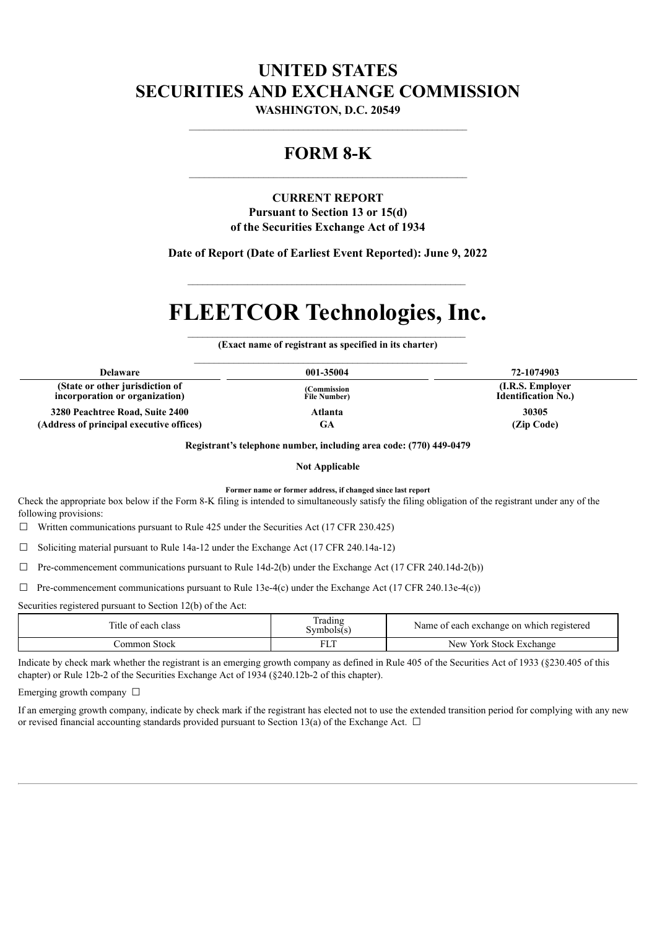# **UNITED STATES SECURITIES AND EXCHANGE COMMISSION**

**WASHINGTON, D.C. 20549** \_\_\_\_\_\_\_\_\_\_\_\_\_\_\_\_\_\_\_\_\_\_\_\_\_\_\_\_\_\_\_\_\_\_\_\_\_\_\_\_\_\_\_\_\_\_\_\_\_\_\_\_\_\_\_\_

# **FORM 8-K**

# **CURRENT REPORT**

**Pursuant to Section 13 or 15(d) of the Securities Exchange Act of 1934**

**Date of Report (Date of Earliest Event Reported): June 9, 2022**

 $\mathcal{L}_\text{max}$  and the contract of the contract of the contract of the contract of the contract of the contract of the contract of the contract of the contract of the contract of the contract of the contract of the contrac

# **FLEETCOR Technologies, Inc.**

 $\mathcal{L}_\text{max}$  and the contract of the contract of the contract of the contract of the contract of the contract of the contract of the contract of the contract of the contract of the contract of the contract of the contrac **(Exact name of registrant as specified in its charter)**

| <b>Delaware</b>                                                   | 001-35004                    | 72-1074903                                      |
|-------------------------------------------------------------------|------------------------------|-------------------------------------------------|
| (State or other jurisdiction of<br>incorporation or organization) | (Commission)<br>File Number) | (I.R.S. Employer)<br><b>Identification No.)</b> |
| 3280 Peachtree Road, Suite 2400                                   | Atlanta                      | 30305                                           |
| (Address of principal executive offices)                          | GA                           | (Zip Code)                                      |

**Registrant's telephone number, including area code: (770) 449-0479**

**Not Applicable**

**Former name or former address, if changed since last report**

Check the appropriate box below if the Form 8-K filing is intended to simultaneously satisfy the filing obligation of the registrant under any of the following provisions:

 $\Box$  Written communications pursuant to Rule 425 under the Securities Act (17 CFR 230.425)

☐ Soliciting material pursuant to Rule 14a-12 under the Exchange Act (17 CFR 240.14a-12)

 $\Box$  Pre-commencement communications pursuant to Rule 14d-2(b) under the Exchange Act (17 CFR 240.14d-2(b))

 $\Box$  Pre-commencement communications pursuant to Rule 13e-4(c) under the Exchange Act (17 CFR 240.13e-4(c))

Securities registered pursuant to Section 12(b) of the Act:

| Title of each class | Trading<br>Symbols(s) | Name of each exchange on which registered |
|---------------------|-----------------------|-------------------------------------------|
| Common Stock        |                       | New York Stock Exchange                   |

Indicate by check mark whether the registrant is an emerging growth company as defined in Rule 405 of the Securities Act of 1933 (§230.405 of this chapter) or Rule 12b-2 of the Securities Exchange Act of 1934 (§240.12b-2 of this chapter).

Emerging growth company  $\Box$ 

If an emerging growth company, indicate by check mark if the registrant has elected not to use the extended transition period for complying with any new or revised financial accounting standards provided pursuant to Section 13(a) of the Exchange Act.  $\Box$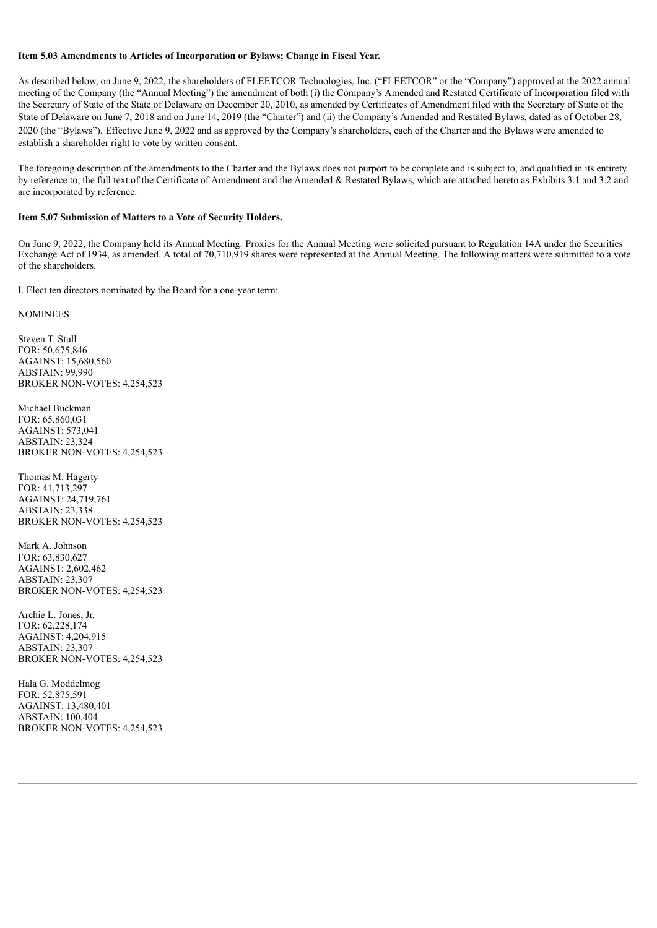#### **Item 5.03 Amendments to Articles of Incorporation or Bylaws; Change in Fiscal Year.**

As described below, on June 9, 2022, the shareholders of FLEETCOR Technologies, Inc. ("FLEETCOR" or the "Company") approved at the 2022 annual meeting of the Company (the "Annual Meeting") the amendment of both (i) the Company's Amended and Restated Certificate of Incorporation filed with the Secretary of State of the State of Delaware on December 20, 2010, as amended by Certificates of Amendment filed with the Secretary of State of the State of Delaware on June 7, 2018 and on June 14, 2019 (the "Charter") and (ii) the Company's Amended and Restated Bylaws, dated as of October 28, 2020 (the "Bylaws"). Effective June 9, 2022 and as approved by the Company's shareholders, each of the Charter and the Bylaws were amended to establish a shareholder right to vote by written consent.

The foregoing description of the amendments to the Charter and the Bylaws does not purport to be complete and is subject to, and qualified in its entirety by reference to, the full text of the Certificate of Amendment and the Amended & Restated Bylaws, which are attached hereto as Exhibits 3.1 and 3.2 and are incorporated by reference.

#### **Item 5.07 Submission of Matters to a Vote of Security Holders.**

On June 9, 2022, the Company held its Annual Meeting. Proxies for the Annual Meeting were solicited pursuant to Regulation 14A under the Securities Exchange Act of 1934, as amended. A total of 70,710,919 shares were represented at the Annual Meeting. The following matters were submitted to a vote of the shareholders.

I. Elect ten directors nominated by the Board for a one-year term:

NOMINEES

Steven T. Stull FOR: 50,675,846 AGAINST: 15,680,560 ABSTAIN: 99,990 BROKER NON-VOTES: 4,254,523

Michael Buckman FOR: 65,860,031 AGAINST: 573,041 ABSTAIN: 23,324 BROKER NON-VOTES: 4,254,523

Thomas M. Hagerty FOR: 41,713,297 AGAINST: 24,719,761 ABSTAIN: 23,338 BROKER NON-VOTES: 4,254,523

Mark A. Johnson FOR: 63,830,627 AGAINST: 2,602,462 ABSTAIN: 23,307 BROKER NON-VOTES: 4,254,523

Archie L. Jones, Jr.  $FOR: 62, 228, 174$ AGAINST: 4,204,915 ABSTAIN: 23,307 BROKER NON-VOTES: 4,254,523

Hala G. Moddelmog FOR: 52,875,591 AGAINST: 13,480,401 ABSTAIN: 100,404 BROKER NON-VOTES: 4,254,523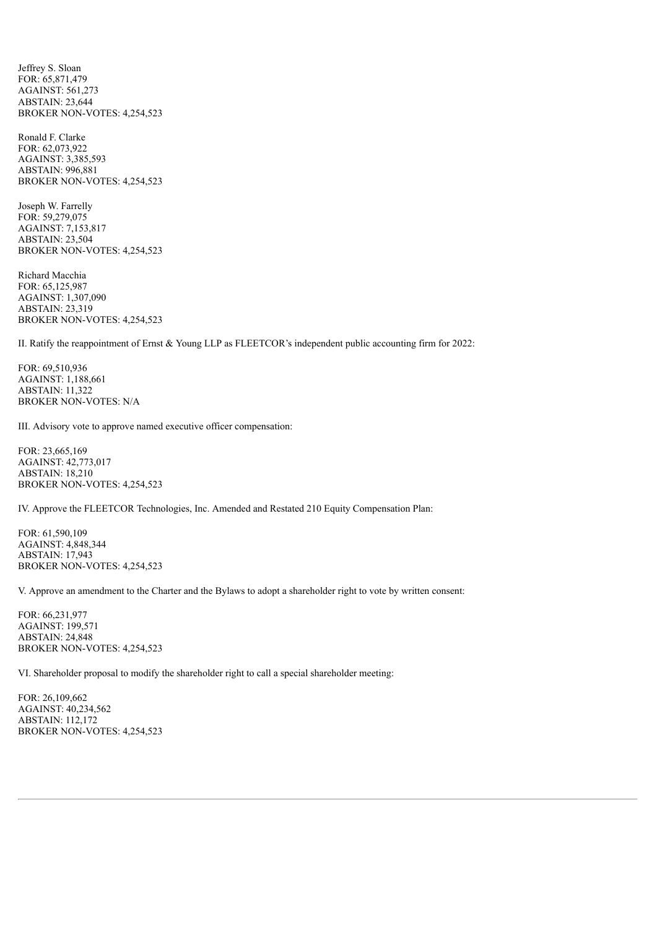Jeffrey S. Sloan FOR: 65,871,479 AGAINST: 561,273 ABSTAIN: 23,644 BROKER NON-VOTES: 4,254,523

Ronald F. Clarke FOR: 62,073,922 AGAINST: 3,385,593 ABSTAIN: 996,881 BROKER NON-VOTES: 4,254,523

Joseph W. Farrelly FOR: 59,279,075 AGAINST: 7,153,817 ABSTAIN: 23,504 BROKER NON-VOTES: 4,254,523

Richard Macchia FOR: 65,125,987 AGAINST: 1,307,090 ABSTAIN: 23,319 BROKER NON-VOTES: 4,254,523

II. Ratify the reappointment of Ernst & Young LLP as FLEETCOR's independent public accounting firm for 2022:

FOR: 69,510,936 AGAINST: 1,188,661 ABSTAIN: 11,322 BROKER NON-VOTES: N/A

III. Advisory vote to approve named executive officer compensation:

FOR: 23,665,169 AGAINST: 42,773,017 ABSTAIN: 18,210 BROKER NON-VOTES: 4,254,523

IV. Approve the FLEETCOR Technologies, Inc. Amended and Restated 210 Equity Compensation Plan:

FOR: 61,590,109 AGAINST: 4,848,344 ABSTAIN: 17,943 BROKER NON-VOTES: 4,254,523

V. Approve an amendment to the Charter and the Bylaws to adopt a shareholder right to vote by written consent:

FOR: 66,231,977 AGAINST: 199,571 ABSTAIN: 24,848 BROKER NON-VOTES: 4,254,523

VI. Shareholder proposal to modify the shareholder right to call a special shareholder meeting:

FOR: 26,109,662 AGAINST: 40,234,562 ABSTAIN: 112,172 BROKER NON-VOTES: 4,254,523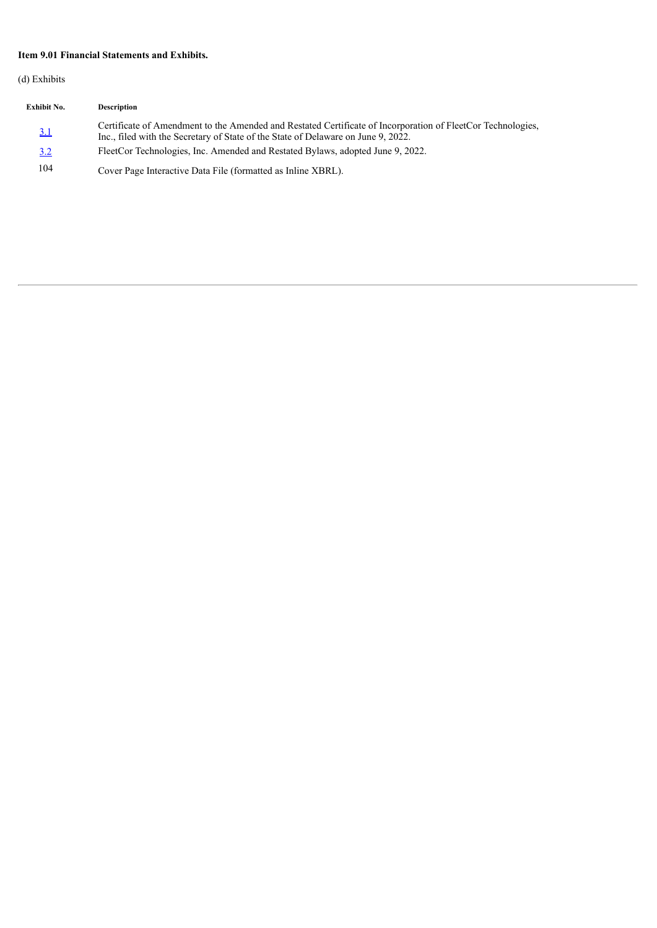# **Item 9.01 Financial Statements and Exhibits.**

(d) Exhibits

| <b>Exhibit No.</b> | <b>Description</b>                                                                                                                                                                               |
|--------------------|--------------------------------------------------------------------------------------------------------------------------------------------------------------------------------------------------|
| <u>3.1</u>         | Certificate of Amendment to the Amended and Restated Certificate of Incorporation of FleetCor Technologies,<br>Inc., filed with the Secretary of State of the State of Delaware on June 9, 2022. |
| 3.2                | FleetCor Technologies, Inc. Amended and Restated Bylaws, adopted June 9, 2022.                                                                                                                   |
| 104                | Cover Page Interactive Data File (formatted as Inline XBRL).                                                                                                                                     |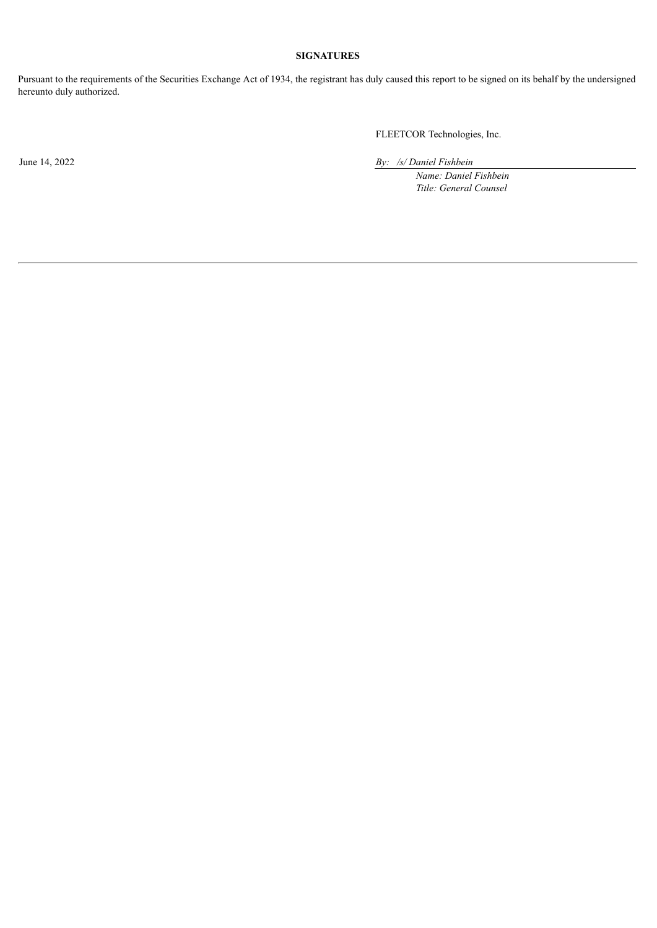# **SIGNATURES**

Pursuant to the requirements of the Securities Exchange Act of 1934, the registrant has duly caused this report to be signed on its behalf by the undersigned hereunto duly authorized.

FLEETCOR Technologies, Inc.

June 14, 2022 *By: /s/ Daniel Fishbein*

*Name: Daniel Fishbein Title: General Counsel*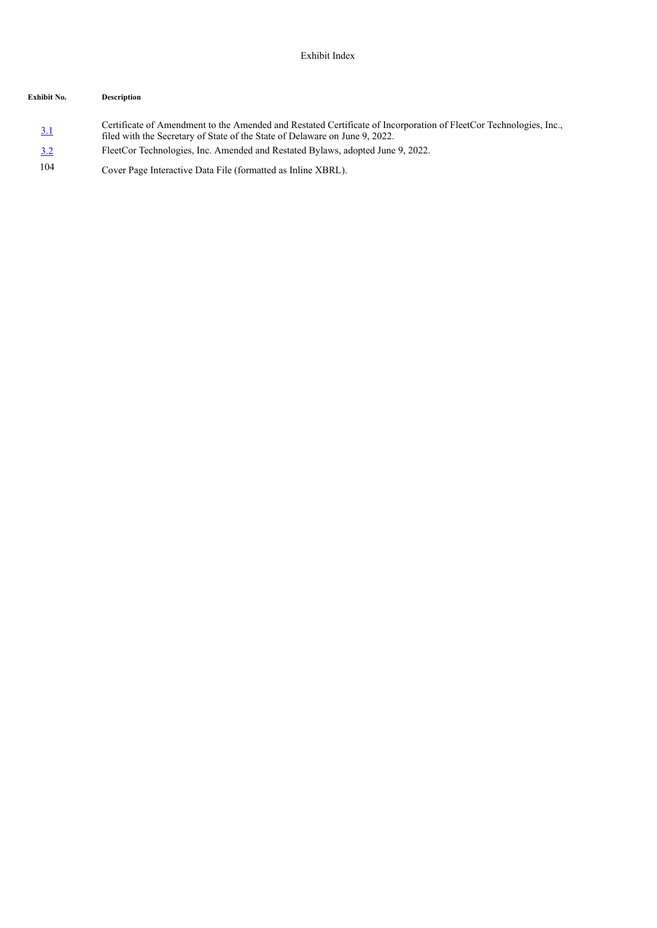# **Exhibit No. Description**

- [3.1](#page-6-0) Certificate of Amendment to the Amended and Restated Certificate of Incorporation of FleetCor Technologies, Inc., filed with the Secretary of State of the State of Delaware on June 9, 2022. [3.2](#page-13-0) FleetCor Technologies, Inc. Amended and Restated Bylaws, adopted June 9, 2022.
- 104 Cover Page Interactive Data File (formatted as Inline XBRL).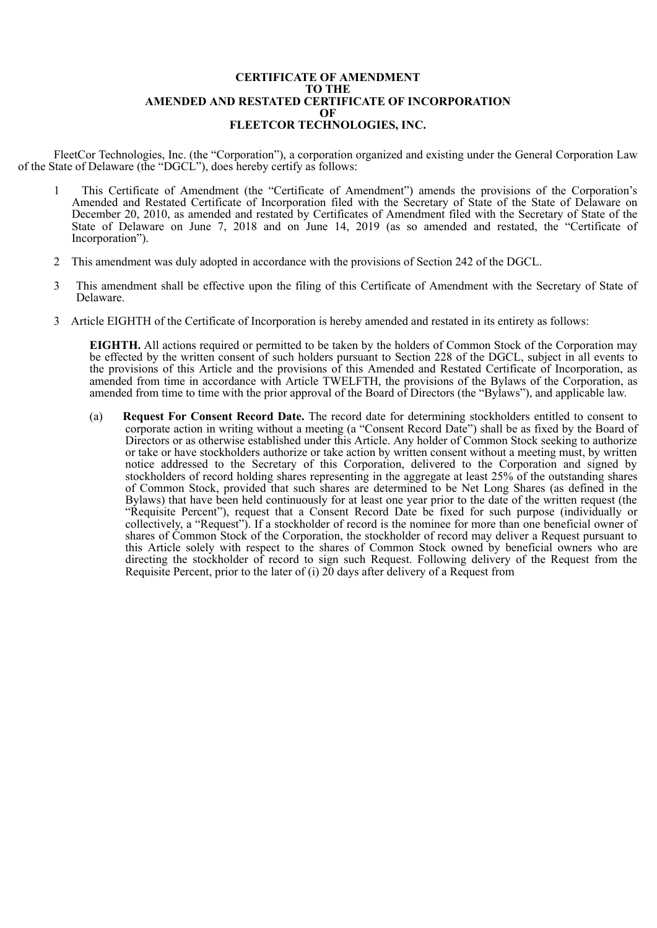#### **CERTIFICATE OF AMENDMENT TO THE AMENDED AND RESTATED CERTIFICATE OF INCORPORATION OF FLEETCOR TECHNOLOGIES, INC.**

<span id="page-6-0"></span>FleetCor Technologies, Inc. (the "Corporation"), a corporation organized and existing under the General Corporation Law of the State of Delaware (the "DGCL"), does hereby certify as follows:

- 1 This Certificate of Amendment (the "Certificate of Amendment") amends the provisions of the Corporation's Amended and Restated Certificate of Incorporation filed with the Secretary of State of the State of Delaware on December 20, 2010, as amended and restated by Certificates of Amendment filed with the Secretary of State of the State of Delaware on June 7, 2018 and on June 14, 2019 (as so amended and restated, the "Certificate of Incorporation").
- 2 This amendment was duly adopted in accordance with the provisions of Section 242 of the DGCL.
- 3 This amendment shall be effective upon the filing of this Certificate of Amendment with the Secretary of State of Delaware.
- 3 Article EIGHTH of the Certificate of Incorporation is hereby amended and restated in its entirety as follows:

**EIGHTH.** All actions required or permitted to be taken by the holders of Common Stock of the Corporation may be effected by the written consent of such holders pursuant to Section 228 of the DGCL, subject in all events to the provisions of this Article and the provisions of this Amended and Restated Certificate of Incorporation, as amended from time in accordance with Article TWELFTH, the provisions of the Bylaws of the Corporation, as amended from time to time with the prior approval of the Board of Directors (the "Bylaws"), and applicable law.

(a) **Request For Consent Record Date.** The record date for determining stockholders entitled to consent to corporate action in writing without a meeting (a "Consent Record Date") shall be as fixed by the Board of Directors or as otherwise established under this Article. Any holder of Common Stock seeking to authorize or take or have stockholders authorize or take action by written consent without a meeting must, by written notice addressed to the Secretary of this Corporation, delivered to the Corporation and signed by stockholders of record holding shares representing in the aggregate at least 25% of the outstanding shares of Common Stock, provided that such shares are determined to be Net Long Shares (as defined in the Bylaws) that have been held continuously for at least one year prior to the date of the written request (the "Requisite Percent"), request that a Consent Record Date be fixed for such purpose (individually or collectively, a "Request"). If a stockholder of record is the nominee for more than one beneficial owner of shares of Common Stock of the Corporation, the stockholder of record may deliver a Request pursuant to this Article solely with respect to the shares of Common Stock owned by beneficial owners who are directing the stockholder of record to sign such Request. Following delivery of the Request from the Requisite Percent, prior to the later of (i) 20 days after delivery of a Request from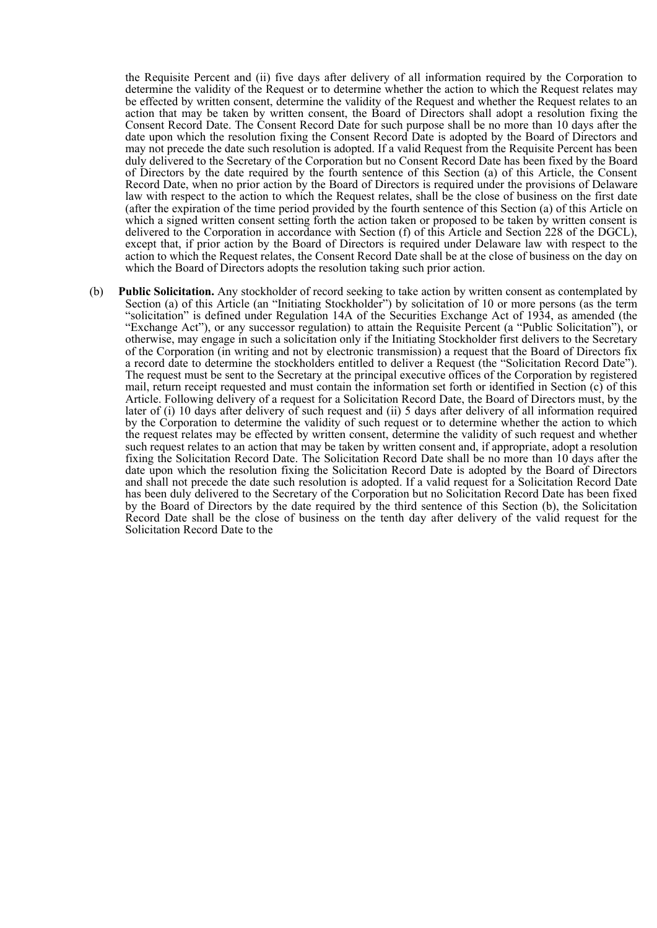the Requisite Percent and (ii) five days after delivery of all information required by the Corporation to determine the validity of the Request or to determine whether the action to which the Request relates may be effected by written consent, determine the validity of the Request and whether the Request relates to an action that may be taken by written consent, the Board of Directors shall adopt a resolution fixing the Consent Record Date. The Consent Record Date for such purpose shall be no more than 10 days after the date upon which the resolution fixing the Consent Record Date is adopted by the Board of Directors and may not precede the date such resolution is adopted. If a valid Request from the Requisite Percent has been duly delivered to the Secretary of the Corporation but no Consent Record Date has been fixed by the Board of Directors by the date required by the fourth sentence of this Section (a) of this Article, the Consent Record Date, when no prior action by the Board of Directors is required under the provisions of Delaware law with respect to the action to which the Request relates, shall be the close of business on the first date (after the expiration of the time period provided by the fourth sentence of this Section (a) of this Article on which a signed written consent setting forth the action taken or proposed to be taken by written consent is delivered to the Corporation in accordance with Section (f) of this Article and Section 228 of the DGCL), except that, if prior action by the Board of Directors is required under Delaware law with respect to the action to which the Request relates, the Consent Record Date shall be at the close of business on the day on which the Board of Directors adopts the resolution taking such prior action.

(b) **Public Solicitation.** Any stockholder of record seeking to take action by written consent as contemplated by Section (a) of this Article (an "Initiating Stockholder") by solicitation of 10 or more persons (as the term "solicitation" is defined under Regulation 14A of the Securities Exchange Act of 1934, as amended (the "Exchange Act"), or any successor regulation) to attain the Requisite Percent (a "Public Solicitation"), or otherwise, may engage in such a solicitation only if the Initiating Stockholder first delivers to the Secretary of the Corporation (in writing and not by electronic transmission) a request that the Board of Directors fix a record date to determine the stockholders entitled to deliver a Request (the "Solicitation Record Date"). The request must be sent to the Secretary at the principal executive offices of the Corporation by registered mail, return receipt requested and must contain the information set forth or identified in Section (c) of this Article. Following delivery of a request for a Solicitation Record Date, the Board of Directors must, by the later of (i) 10 days after delivery of such request and (ii) 5 days after delivery of all information required by the Corporation to determine the validity of such request or to determine whether the action to which the request relates may be effected by written consent, determine the validity of such request and whether such request relates to an action that may be taken by written consent and, if appropriate, adopt a resolution fixing the Solicitation Record Date. The Solicitation Record Date shall be no more than 10 days after the date upon which the resolution fixing the Solicitation Record Date is adopted by the Board of Directors and shall not precede the date such resolution is adopted. If a valid request for a Solicitation Record Date has been duly delivered to the Secretary of the Corporation but no Solicitation Record Date has been fixed by the Board of Directors by the date required by the third sentence of this Section (b), the Solicitation Record Date shall be the close of business on the tenth day after delivery of the valid request for the Solicitation Record Date to the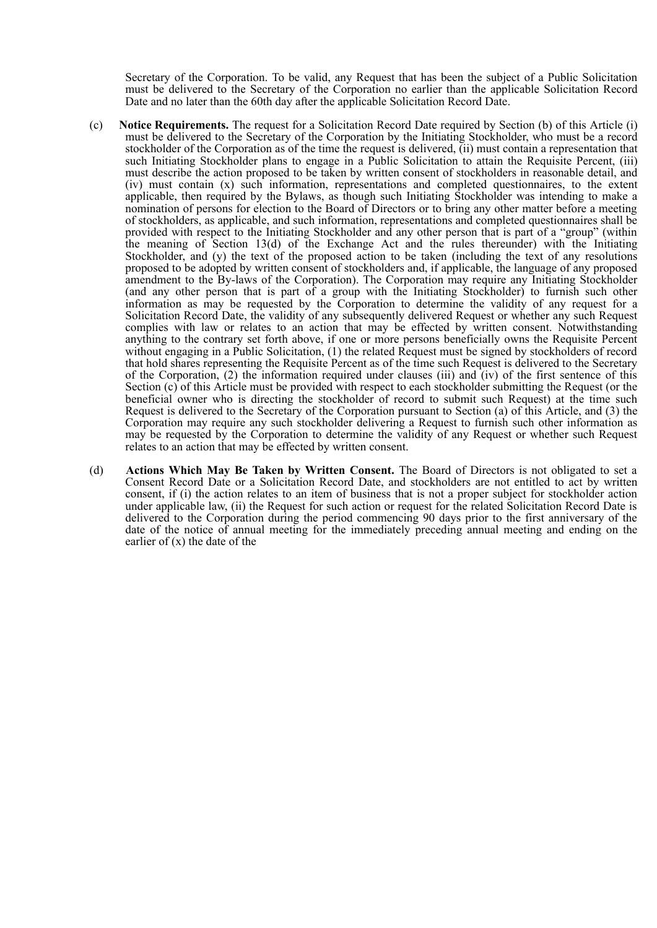Secretary of the Corporation. To be valid, any Request that has been the subject of a Public Solicitation must be delivered to the Secretary of the Corporation no earlier than the applicable Solicitation Record Date and no later than the 60th day after the applicable Solicitation Record Date.

- (c) **Notice Requirements.** The request for a Solicitation Record Date required by Section (b) of this Article (i) must be delivered to the Secretary of the Corporation by the Initiating Stockholder, who must be a record stockholder of the Corporation as of the time the request is delivered, (ii) must contain a representation that such Initiating Stockholder plans to engage in a Public Solicitation to attain the Requisite Percent, (iii) must describe the action proposed to be taken by written consent of stockholders in reasonable detail, and (iv) must contain (x) such information, representations and completed questionnaires, to the extent applicable, then required by the Bylaws, as though such Initiating Stockholder was intending to make a nomination of persons for election to the Board of Directors or to bring any other matter before a meeting of stockholders, as applicable, and such information, representations and completed questionnaires shall be provided with respect to the Initiating Stockholder and any other person that is part of a "group" (within the meaning of Section 13(d) of the Exchange Act and the rules thereunder) with the Initiating Stockholder, and (y) the text of the proposed action to be taken (including the text of any resolutions proposed to be adopted by written consent of stockholders and, if applicable, the language of any proposed amendment to the By-laws of the Corporation). The Corporation may require any Initiating Stockholder (and any other person that is part of a group with the Initiating Stockholder) to furnish such other information as may be requested by the Corporation to determine the validity of any request for a Solicitation Record Date, the validity of any subsequently delivered Request or whether any such Request complies with law or relates to an action that may be effected by written consent. Notwithstanding anything to the contrary set forth above, if one or more persons beneficially owns the Requisite Percent without engaging in a Public Solicitation, (1) the related Request must be signed by stockholders of record that hold shares representing the Requisite Percent as of the time such Request is delivered to the Secretary of the Corporation, (2) the information required under clauses (iii) and (iv) of the first sentence of this Section (c) of this Article must be provided with respect to each stockholder submitting the Request (or the beneficial owner who is directing the stockholder of record to submit such Request) at the time such Request is delivered to the Secretary of the Corporation pursuant to Section (a) of this Article, and (3) the Corporation may require any such stockholder delivering a Request to furnish such other information as may be requested by the Corporation to determine the validity of any Request or whether such Request relates to an action that may be effected by written consent.
- (d) **Actions Which May Be Taken by Written Consent.** The Board of Directors is not obligated to set a Consent Record Date or a Solicitation Record Date, and stockholders are not entitled to act by written consent, if (i) the action relates to an item of business that is not a proper subject for stockholder action under applicable law, (ii) the Request for such action or request for the related Solicitation Record Date is delivered to the Corporation during the period commencing 90 days prior to the first anniversary of the date of the notice of annual meeting for the immediately preceding annual meeting and ending on the earlier of  $(x)$  the date of the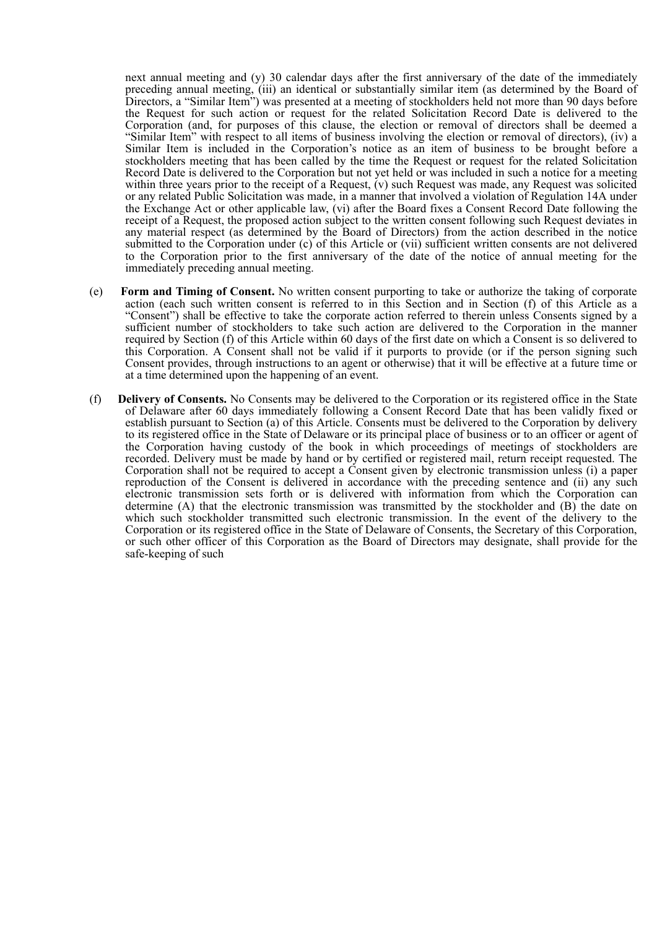next annual meeting and (y) 30 calendar days after the first anniversary of the date of the immediately preceding annual meeting, (iii) an identical or substantially similar item (as determined by the Board of Directors, a "Similar Item") was presented at a meeting of stockholders held not more than 90 days before the Request for such action or request for the related Solicitation Record Date is delivered to the Corporation (and, for purposes of this clause, the election or removal of directors shall be deemed a "Similar Item" with respect to all items of business involving the election or removal of directors), (iv) a Similar Item is included in the Corporation's notice as an item of business to be brought before a stockholders meeting that has been called by the time the Request or request for the related Solicitation Record Date is delivered to the Corporation but not yet held or was included in such a notice for a meeting within three years prior to the receipt of a Request, (v) such Request was made, any Request was solicited or any related Public Solicitation was made, in a manner that involved a violation of Regulation 14A under the Exchange Act or other applicable law, (vi) after the Board fixes a Consent Record Date following the receipt of a Request, the proposed action subject to the written consent following such Request deviates in any material respect (as determined by the Board of Directors) from the action described in the notice submitted to the Corporation under (c) of this Article or (vii) sufficient written consents are not delivered to the Corporation prior to the first anniversary of the date of the notice of annual meeting for the immediately preceding annual meeting.

- (e) **Form and Timing of Consent.** No written consent purporting to take or authorize the taking of corporate action (each such written consent is referred to in this Section and in Section (f) of this Article as a "Consent") shall be effective to take the corporate action referred to therein unless Consents signed by a sufficient number of stockholders to take such action are delivered to the Corporation in the manner required by Section (f) of this Article within 60 days of the first date on which a Consent is so delivered to this Corporation. A Consent shall not be valid if it purports to provide (or if the person signing such Consent provides, through instructions to an agent or otherwise) that it will be effective at a future time or at a time determined upon the happening of an event.
- (f) **Delivery of Consents.** No Consents may be delivered to the Corporation or its registered office in the State of Delaware after 60 days immediately following a Consent Record Date that has been validly fixed or establish pursuant to Section (a) of this Article. Consents must be delivered to the Corporation by delivery to its registered office in the State of Delaware or its principal place of business or to an officer or agent of the Corporation having custody of the book in which proceedings of meetings of stockholders are recorded. Delivery must be made by hand or by certified or registered mail, return receipt requested. The Corporation shall not be required to accept a Consent given by electronic transmission unless (i) a paper reproduction of the Consent is delivered in accordance with the preceding sentence and (ii) any such electronic transmission sets forth or is delivered with information from which the Corporation can determine (A) that the electronic transmission was transmitted by the stockholder and (B) the date on which such stockholder transmitted such electronic transmission. In the event of the delivery to the Corporation or its registered office in the State of Delaware of Consents, the Secretary of this Corporation, or such other officer of this Corporation as the Board of Directors may designate, shall provide for the safe-keeping of such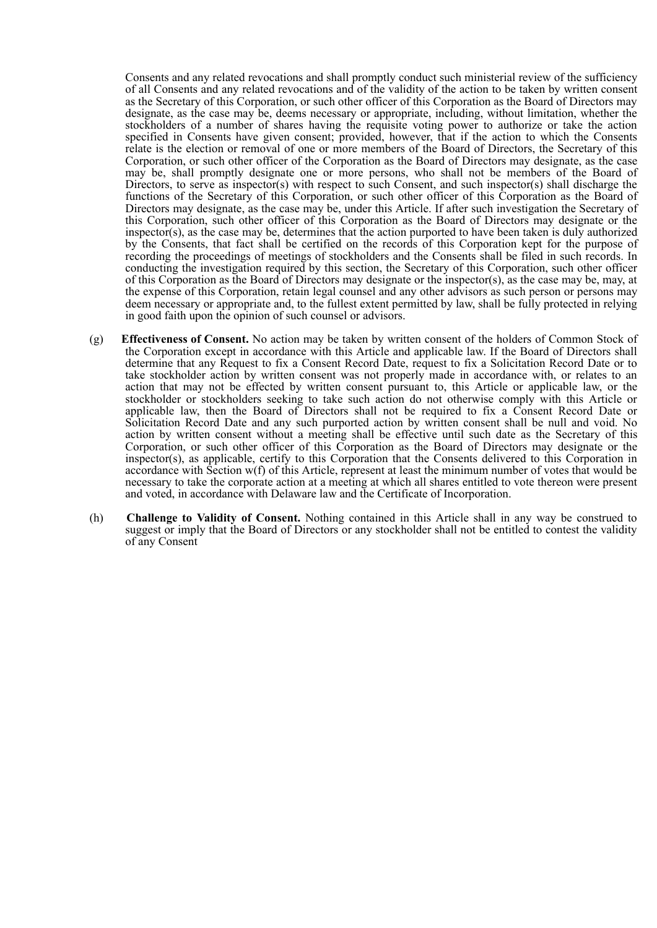Consents and any related revocations and shall promptly conduct such ministerial review of the sufficiency of all Consents and any related revocations and of the validity of the action to be taken by written consent as the Secretary of this Corporation, or such other officer of this Corporation as the Board of Directors may designate, as the case may be, deems necessary or appropriate, including, without limitation, whether the stockholders of a number of shares having the requisite voting power to authorize or take the action specified in Consents have given consent; provided, however, that if the action to which the Consents relate is the election or removal of one or more members of the Board of Directors, the Secretary of this Corporation, or such other officer of the Corporation as the Board of Directors may designate, as the case may be, shall promptly designate one or more persons, who shall not be members of the Board of Directors, to serve as inspector(s) with respect to such Consent, and such inspector(s) shall discharge the functions of the Secretary of this Corporation, or such other officer of this Corporation as the Board of Directors may designate, as the case may be, under this Article. If after such investigation the Secretary of this Corporation, such other officer of this Corporation as the Board of Directors may designate or the inspector(s), as the case may be, determines that the action purported to have been taken is duly authorized by the Consents, that fact shall be certified on the records of this Corporation kept for the purpose of recording the proceedings of meetings of stockholders and the Consents shall be filed in such records. In conducting the investigation required by this section, the Secretary of this Corporation, such other officer of this Corporation as the Board of Directors may designate or the inspector(s), as the case may be, may, at the expense of this Corporation, retain legal counsel and any other advisors as such person or persons may deem necessary or appropriate and, to the fullest extent permitted by law, shall be fully protected in relying in good faith upon the opinion of such counsel or advisors.

- (g) **Effectiveness of Consent.** No action may be taken by written consent of the holders of Common Stock of the Corporation except in accordance with this Article and applicable law. If the Board of Directors shall determine that any Request to fix a Consent Record Date, request to fix a Solicitation Record Date or to take stockholder action by written consent was not properly made in accordance with, or relates to an action that may not be effected by written consent pursuant to, this Article or applicable law, or the stockholder or stockholders seeking to take such action do not otherwise comply with this Article or applicable law, then the Board of Directors shall not be required to fix a Consent Record Date or Solicitation Record Date and any such purported action by written consent shall be null and void. No action by written consent without a meeting shall be effective until such date as the Secretary of this Corporation, or such other officer of this Corporation as the Board of Directors may designate or the inspector(s), as applicable, certify to this Corporation that the Consents delivered to this Corporation in accordance with Section w(f) of this Article, represent at least the minimum number of votes that would be necessary to take the corporate action at a meeting at which all shares entitled to vote thereon were present and voted, in accordance with Delaware law and the Certificate of Incorporation.
- (h) **Challenge to Validity of Consent.** Nothing contained in this Article shall in any way be construed to suggest or imply that the Board of Directors or any stockholder shall not be entitled to contest the validity of any Consent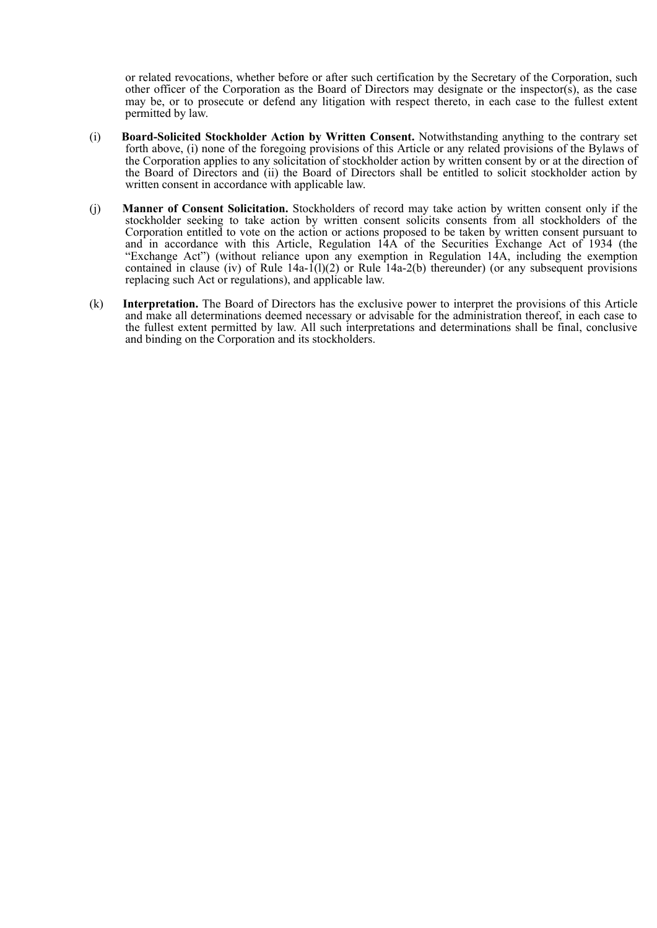or related revocations, whether before or after such certification by the Secretary of the Corporation, such other officer of the Corporation as the Board of Directors may designate or the inspector(s), as the case may be, or to prosecute or defend any litigation with respect thereto, in each case to the fullest extent permitted by law.

- (i) **Board-Solicited Stockholder Action by Written Consent.** Notwithstanding anything to the contrary set forth above, (i) none of the foregoing provisions of this Article or any related provisions of the Bylaws of the Corporation applies to any solicitation of stockholder action by written consent by or at the direction of the Board of Directors and (ii) the Board of Directors shall be entitled to solicit stockholder action by written consent in accordance with applicable law.
- (j) **Manner of Consent Solicitation.** Stockholders of record may take action by written consent only if the stockholder seeking to take action by written consent solicits consents from all stockholders of the Corporation entitled to vote on the action or actions proposed to be taken by written consent pursuant to and in accordance with this Article, Regulation 14A of the Securities Exchange Act of 1934 (the "Exchange Act") (without reliance upon any exemption in Regulation 14A, including the exemption contained in clause (iv) of Rule  $14a-1(1)(2)$  or Rule  $14a-2(b)$  thereunder) (or any subsequent provisions replacing such Act or regulations), and applicable law.
- (k) **Interpretation.** The Board of Directors has the exclusive power to interpret the provisions of this Article and make all determinations deemed necessary or advisable for the administration thereof, in each case to the fullest extent permitted by law. All such interpretations and determinations shall be final, conclusive and binding on the Corporation and its stockholders.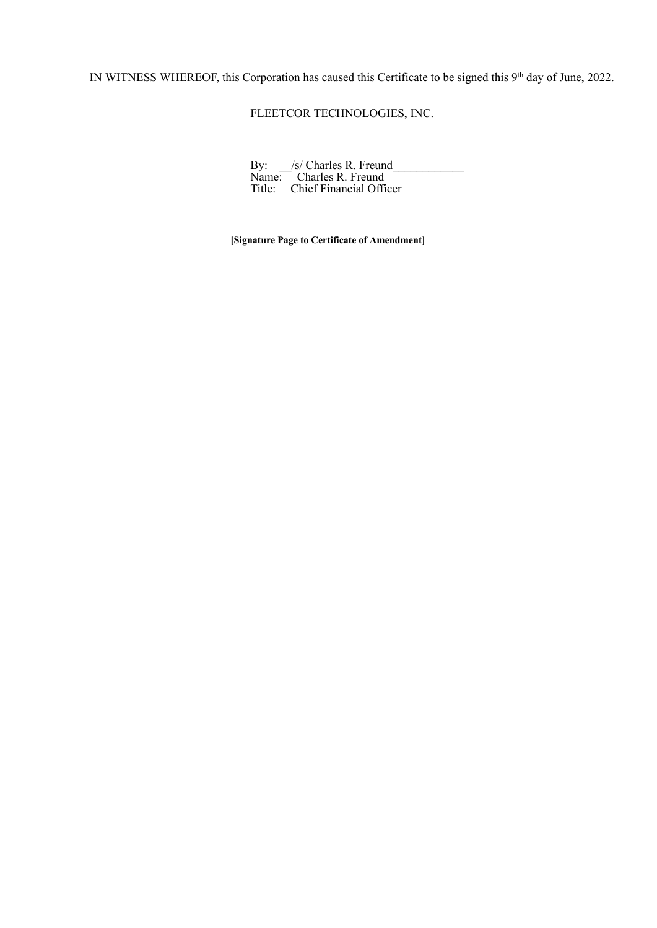IN WITNESS WHEREOF, this Corporation has caused this Certificate to be signed this  $9<sup>th</sup>$  day of June, 2022.

FLEETCOR TECHNOLOGIES, INC.

| By: /s/ Charles R. Freund      |  |
|--------------------------------|--|
| Name: Charles R. Freund        |  |
| Title: Chief Financial Officer |  |

**[Signature Page to Certificate of Amendment]**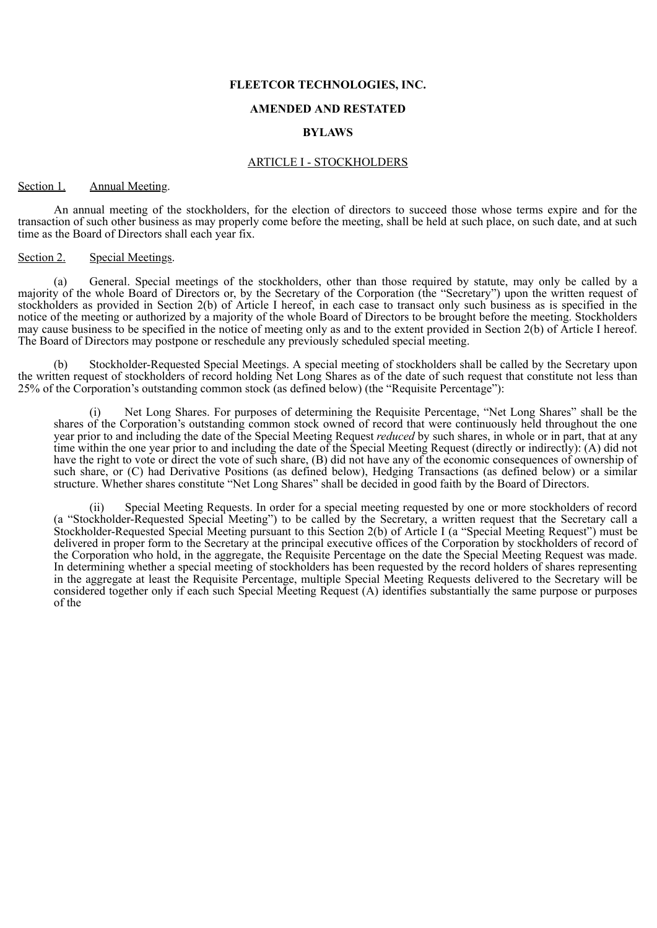#### **FLEETCOR TECHNOLOGIES, INC.**

#### **AMENDED AND RESTATED**

#### **BYLAWS**

#### ARTICLE I - STOCKHOLDERS

#### <span id="page-13-0"></span>Section 1. Annual Meeting.

An annual meeting of the stockholders, for the election of directors to succeed those whose terms expire and for the transaction of such other business as may properly come before the meeting, shall be held at such place, on such date, and at such time as the Board of Directors shall each year fix.

#### Section 2. Special Meetings.

(a) General. Special meetings of the stockholders, other than those required by statute, may only be called by a majority of the whole Board of Directors or, by the Secretary of the Corporation (the "Secretary") upon the written request of stockholders as provided in Section 2(b) of Article I hereof, in each case to transact only such business as is specified in the notice of the meeting or authorized by a majority of the whole Board of Directors to be brought before the meeting. Stockholders may cause business to be specified in the notice of meeting only as and to the extent provided in Section 2(b) of Article I hereof. The Board of Directors may postpone or reschedule any previously scheduled special meeting.

Stockholder-Requested Special Meetings. A special meeting of stockholders shall be called by the Secretary upon the written request of stockholders of record holding Net Long Shares as of the date of such request that constitute not less than 25% of the Corporation's outstanding common stock (as defined below) (the "Requisite Percentage"):

Net Long Shares. For purposes of determining the Requisite Percentage, "Net Long Shares" shall be the shares of the Corporation's outstanding common stock owned of record that were continuously held throughout the one year prior to and including the date of the Special Meeting Request *reduced* by such shares, in whole or in part, that at any time within the one year prior to and including the date of the Special Meeting Request (directly or indirectly): (A) did not have the right to vote or direct the vote of such share, (B) did not have any of the economic consequences of ownership of such share, or (C) had Derivative Positions (as defined below), Hedging Transactions (as defined below) or a similar structure. Whether shares constitute "Net Long Shares" shall be decided in good faith by the Board of Directors.

(ii) Special Meeting Requests. In order for a special meeting requested by one or more stockholders of record (a "Stockholder-Requested Special Meeting") to be called by the Secretary, a written request that the Secretary call a Stockholder-Requested Special Meeting pursuant to this Section 2(b) of Article I (a "Special Meeting Request") must be delivered in proper form to the Secretary at the principal executive offices of the Corporation by stockholders of record of the Corporation who hold, in the aggregate, the Requisite Percentage on the date the Special Meeting Request was made. In determining whether a special meeting of stockholders has been requested by the record holders of shares representing in the aggregate at least the Requisite Percentage, multiple Special Meeting Requests delivered to the Secretary will be considered together only if each such Special Meeting Request (A) identifies substantially the same purpose or purposes of the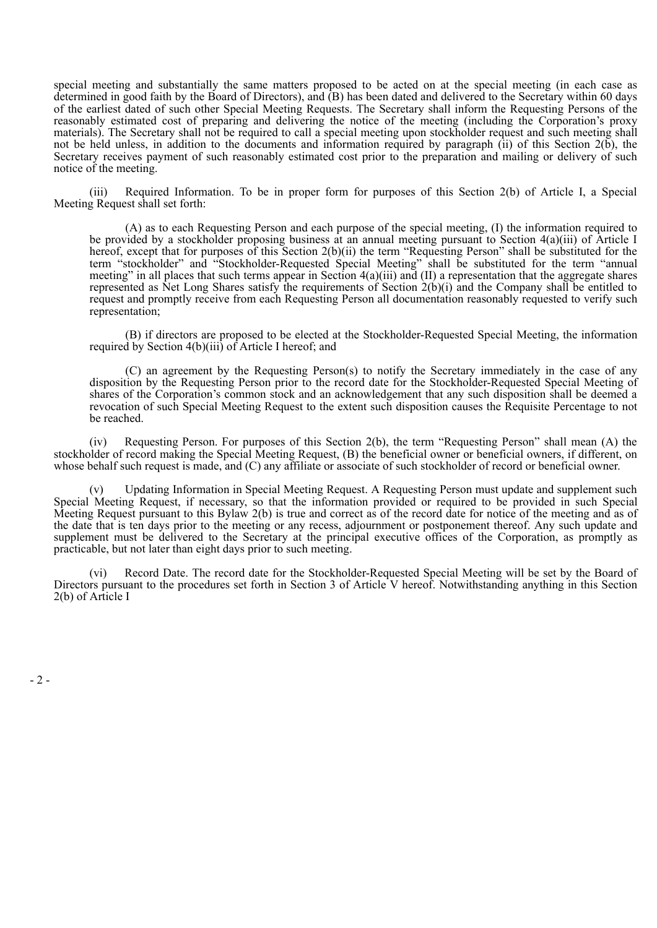special meeting and substantially the same matters proposed to be acted on at the special meeting (in each case as determined in good faith by the Board of Directors), and (B) has been dated and delivered to the Secretary within 60 days of the earliest dated of such other Special Meeting Requests. The Secretary shall inform the Requesting Persons of the reasonably estimated cost of preparing and delivering the notice of the meeting (including the Corporation's proxy materials). The Secretary shall not be required to call a special meeting upon stockholder request and such meeting shall not be held unless, in addition to the documents and information required by paragraph (ii) of this Section 2(b), the Secretary receives payment of such reasonably estimated cost prior to the preparation and mailing or delivery of such notice of the meeting.

(iii) Required Information. To be in proper form for purposes of this Section 2(b) of Article I, a Special Meeting Request shall set forth:

(A) as to each Requesting Person and each purpose of the special meeting, (I) the information required to be provided by a stockholder proposing business at an annual meeting pursuant to Section 4(a)(iii) of Article I hereof, except that for purposes of this Section 2(b)(ii) the term "Requesting Person" shall be substituted for the term "stockholder" and "Stockholder-Requested Special Meeting" shall be substituted for the term "annual meeting" in all places that such terms appear in Section 4(a)(iii) and (II) a representation that the aggregate shares represented as Net Long Shares satisfy the requirements of Section  $\hat{2}(b)(i)$  and the Company shall be entitled to request and promptly receive from each Requesting Person all documentation reasonably requested to verify such representation;

(B) if directors are proposed to be elected at the Stockholder-Requested Special Meeting, the information required by Section 4(b)(iii) of Article I hereof; and

(C) an agreement by the Requesting Person(s) to notify the Secretary immediately in the case of any disposition by the Requesting Person prior to the record date for the Stockholder-Requested Special Meeting of shares of the Corporation's common stock and an acknowledgement that any such disposition shall be deemed a revocation of such Special Meeting Request to the extent such disposition causes the Requisite Percentage to not be reached.

(iv) Requesting Person. For purposes of this Section 2(b), the term "Requesting Person" shall mean (A) the stockholder of record making the Special Meeting Request, (B) the beneficial owner or beneficial owners, if different, on whose behalf such request is made, and (C) any affiliate or associate of such stockholder of record or beneficial owner.

(v) Updating Information in Special Meeting Request. A Requesting Person must update and supplement such Special Meeting Request, if necessary, so that the information provided or required to be provided in such Special Meeting Request pursuant to this Bylaw 2(b) is true and correct as of the record date for notice of the meeting and as of the date that is ten days prior to the meeting or any recess, adjournment or postponement thereof. Any such update and supplement must be delivered to the Secretary at the principal executive offices of the Corporation, as promptly as practicable, but not later than eight days prior to such meeting.

(vi) Record Date. The record date for the Stockholder-Requested Special Meeting will be set by the Board of Directors pursuant to the procedures set forth in Section 3 of Article V hereof. Notwithstanding anything in this Section 2(b) of Article I

 $-2-$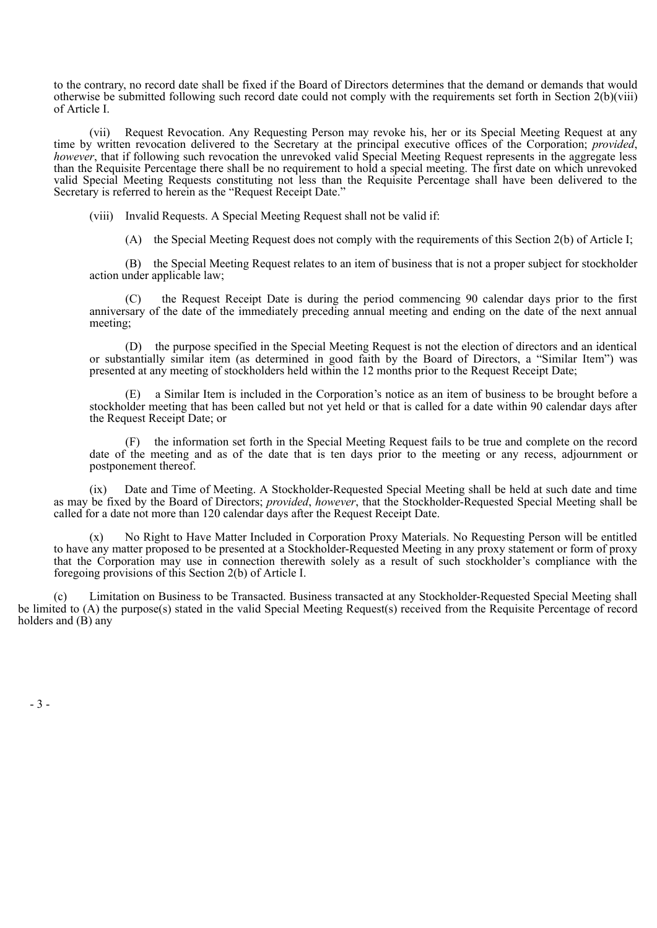to the contrary, no record date shall be fixed if the Board of Directors determines that the demand or demands that would otherwise be submitted following such record date could not comply with the requirements set forth in Section 2(b)(viii) of Article I.

(vii) Request Revocation. Any Requesting Person may revoke his, her or its Special Meeting Request at any time by written revocation delivered to the Secretary at the principal executive offices of the Corporation; *provided*, *however*, that if following such revocation the unrevoked valid Special Meeting Request represents in the aggregate less than the Requisite Percentage there shall be no requirement to hold a special meeting. The first date on which unrevoked valid Special Meeting Requests constituting not less than the Requisite Percentage shall have been delivered to the Secretary is referred to herein as the "Request Receipt Date."

(viii) Invalid Requests. A Special Meeting Request shall not be valid if:

(A) the Special Meeting Request does not comply with the requirements of this Section 2(b) of Article I;

(B) the Special Meeting Request relates to an item of business that is not a proper subject for stockholder action under applicable law;

(C) the Request Receipt Date is during the period commencing 90 calendar days prior to the first anniversary of the date of the immediately preceding annual meeting and ending on the date of the next annual meeting;

(D) the purpose specified in the Special Meeting Request is not the election of directors and an identical or substantially similar item (as determined in good faith by the Board of Directors, a "Similar Item") was presented at any meeting of stockholders held within the 12 months prior to the Request Receipt Date;

(E) a Similar Item is included in the Corporation's notice as an item of business to be brought before a stockholder meeting that has been called but not yet held or that is called for a date within 90 calendar days after the Request Receipt Date; or

(F) the information set forth in the Special Meeting Request fails to be true and complete on the record date of the meeting and as of the date that is ten days prior to the meeting or any recess, adjournment or postponement thereof.

(ix) Date and Time of Meeting. A Stockholder-Requested Special Meeting shall be held at such date and time as may be fixed by the Board of Directors; *provided*, *however*, that the Stockholder-Requested Special Meeting shall be called for a date not more than 120 calendar days after the Request Receipt Date.

(x) No Right to Have Matter Included in Corporation Proxy Materials. No Requesting Person will be entitled to have any matter proposed to be presented at a Stockholder-Requested Meeting in any proxy statement or form of proxy that the Corporation may use in connection therewith solely as a result of such stockholder's compliance with the foregoing provisions of this Section 2(b) of Article I.

(c) Limitation on Business to be Transacted. Business transacted at any Stockholder-Requested Special Meeting shall be limited to (A) the purpose(s) stated in the valid Special Meeting Request(s) received from the Requisite Percentage of record holders and  $(B)$  any

- 3 -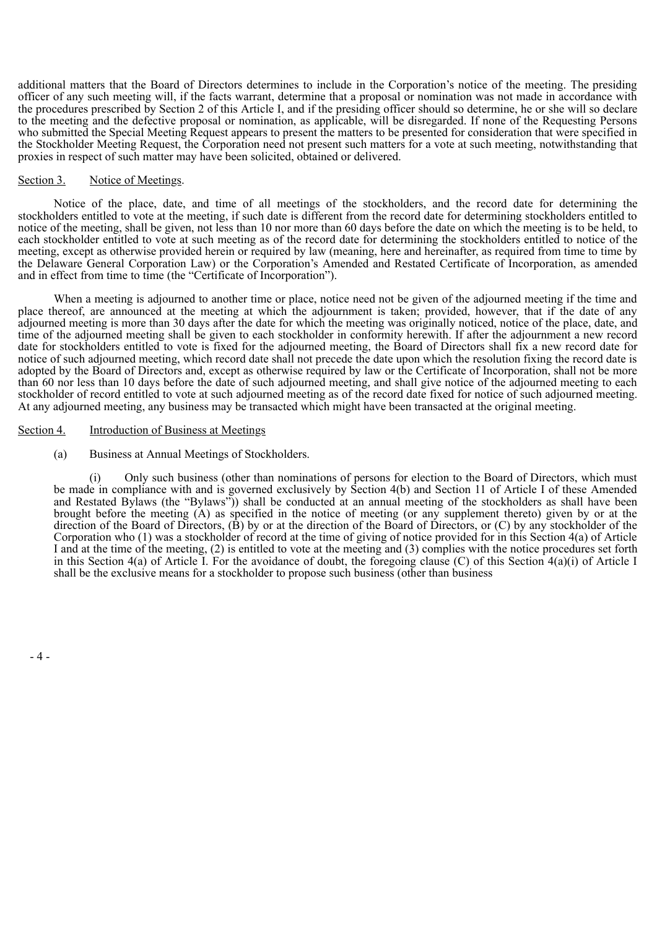additional matters that the Board of Directors determines to include in the Corporation's notice of the meeting. The presiding officer of any such meeting will, if the facts warrant, determine that a proposal or nomination was not made in accordance with the procedures prescribed by Section 2 of this Article I, and if the presiding officer should so determine, he or she will so declare to the meeting and the defective proposal or nomination, as applicable, will be disregarded. If none of the Requesting Persons who submitted the Special Meeting Request appears to present the matters to be presented for consideration that were specified in the Stockholder Meeting Request, the Corporation need not present such matters for a vote at such meeting, notwithstanding that proxies in respect of such matter may have been solicited, obtained or delivered.

#### Section 3. Notice of Meetings.

Notice of the place, date, and time of all meetings of the stockholders, and the record date for determining the stockholders entitled to vote at the meeting, if such date is different from the record date for determining stockholders entitled to notice of the meeting, shall be given, not less than 10 nor more than 60 days before the date on which the meeting is to be held, to each stockholder entitled to vote at such meeting as of the record date for determining the stockholders entitled to notice of the meeting, except as otherwise provided herein or required by law (meaning, here and hereinafter, as required from time to time by the Delaware General Corporation Law) or the Corporation's Amended and Restated Certificate of Incorporation, as amended and in effect from time to time (the "Certificate of Incorporation").

When a meeting is adjourned to another time or place, notice need not be given of the adjourned meeting if the time and place thereof, are announced at the meeting at which the adjournment is taken; provided, however, that if the date of any adjourned meeting is more than 30 days after the date for which the meeting was originally noticed, notice of the place, date, and time of the adjourned meeting shall be given to each stockholder in conformity herewith. If after the adjournment a new record date for stockholders entitled to vote is fixed for the adjourned meeting, the Board of Directors shall fix a new record date for notice of such adjourned meeting, which record date shall not precede the date upon which the resolution fixing the record date is adopted by the Board of Directors and, except as otherwise required by law or the Certificate of Incorporation, shall not be more than 60 nor less than 10 days before the date of such adjourned meeting, and shall give notice of the adjourned meeting to each stockholder of record entitled to vote at such adjourned meeting as of the record date fixed for notice of such adjourned meeting. At any adjourned meeting, any business may be transacted which might have been transacted at the original meeting.

#### Section 4. Introduction of Business at Meetings

#### (a) Business at Annual Meetings of Stockholders.

(i) Only such business (other than nominations of persons for election to the Board of Directors, which must be made in compliance with and is governed exclusively by Section 4(b) and Section 11 of Article I of these Amended and Restated Bylaws (the "Bylaws")) shall be conducted at an annual meeting of the stockholders as shall have been brought before the meeting (A) as specified in the notice of meeting (or any supplement thereto) given by or at the direction of the Board of Directors, (B) by or at the direction of the Board of Directors, or (C) by any stockholder of the Corporation who (1) was a stockholder of record at the time of giving of notice provided for in this Section 4(a) of Article I and at the time of the meeting, (2) is entitled to vote at the meeting and (3) complies with the notice procedures set forth in this Section 4(a) of Article I. For the avoidance of doubt, the foregoing clause (C) of this Section 4(a)(i) of Article I shall be the exclusive means for a stockholder to propose such business (other than business

 $-4-$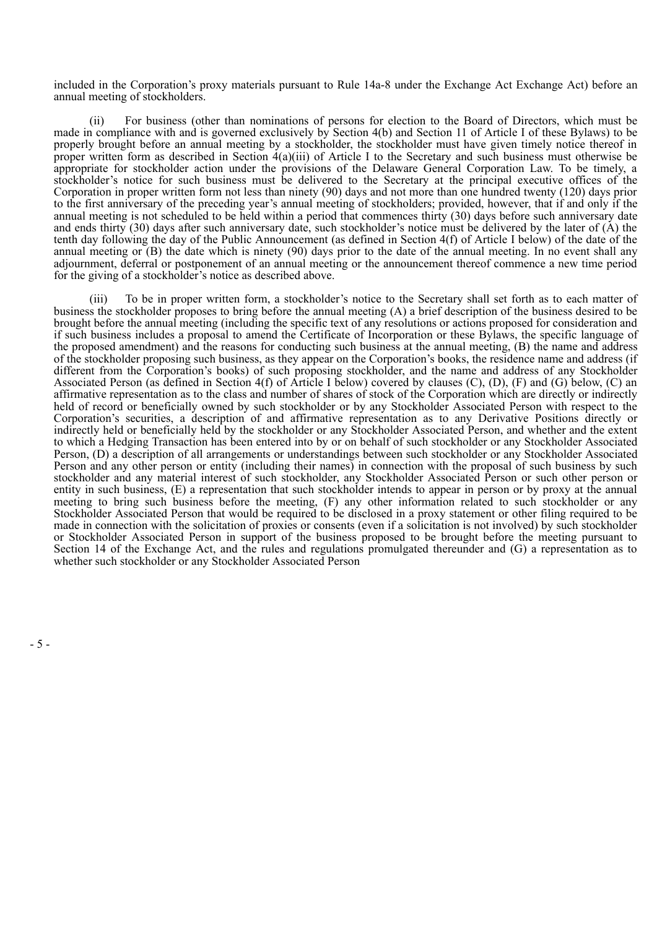included in the Corporation's proxy materials pursuant to Rule 14a-8 under the Exchange Act Exchange Act) before an annual meeting of stockholders.

(ii) For business (other than nominations of persons for election to the Board of Directors, which must be made in compliance with and is governed exclusively by Section 4(b) and Section 11 of Article I of these Bylaws) to be properly brought before an annual meeting by a stockholder, the stockholder must have given timely notice thereof in proper written form as described in Section  $4(a)(iii)$  of Article I to the Secretary and such business must otherwise be appropriate for stockholder action under the provisions of the Delaware General Corporation Law. To be timely, a stockholder's notice for such business must be delivered to the Secretary at the principal executive offices of the Corporation in proper written form not less than ninety (90) days and not more than one hundred twenty (120) days prior to the first anniversary of the preceding year's annual meeting of stockholders; provided, however, that if and only if the annual meeting is not scheduled to be held within a period that commences thirty (30) days before such anniversary date and ends thirty (30) days after such anniversary date, such stockholder's notice must be delivered by the later of (A) the tenth day following the day of the Public Announcement (as defined in Section 4(f) of Article I below) of the date of the annual meeting or (B) the date which is ninety (90) days prior to the date of the annual meeting. In no event shall any adjournment, deferral or postponement of an annual meeting or the announcement thereof commence a new time period for the giving of a stockholder's notice as described above.

(iii) To be in proper written form, a stockholder's notice to the Secretary shall set forth as to each matter of business the stockholder proposes to bring before the annual meeting (A) a brief description of the business desired to be brought before the annual meeting (including the specific text of any resolutions or actions proposed for consideration and if such business includes a proposal to amend the Certificate of Incorporation or these Bylaws, the specific language of the proposed amendment) and the reasons for conducting such business at the annual meeting, (B) the name and address of the stockholder proposing such business, as they appear on the Corporation's books, the residence name and address (if different from the Corporation's books) of such proposing stockholder, and the name and address of any Stockholder Associated Person (as defined in Section 4(f) of Article I below) covered by clauses (C), (D), (F) and (G) below, (C) an affirmative representation as to the class and number of shares of stock of the Corporation which are directly or indirectly held of record or beneficially owned by such stockholder or by any Stockholder Associated Person with respect to the Corporation's securities, a description of and affirmative representation as to any Derivative Positions directly or indirectly held or beneficially held by the stockholder or any Stockholder Associated Person, and whether and the extent to which a Hedging Transaction has been entered into by or on behalf of such stockholder or any Stockholder Associated Person, (D) a description of all arrangements or understandings between such stockholder or any Stockholder Associated Person and any other person or entity (including their names) in connection with the proposal of such business by such stockholder and any material interest of such stockholder, any Stockholder Associated Person or such other person or entity in such business, (E) a representation that such stockholder intends to appear in person or by proxy at the annual meeting to bring such business before the meeting, (F) any other information related to such stockholder or any Stockholder Associated Person that would be required to be disclosed in a proxy statement or other filing required to be made in connection with the solicitation of proxies or consents (even if a solicitation is not involved) by such stockholder or Stockholder Associated Person in support of the business proposed to be brought before the meeting pursuant to Section 14 of the Exchange Act, and the rules and regulations promulgated thereunder and (G) a representation as to whether such stockholder or any Stockholder Associated Person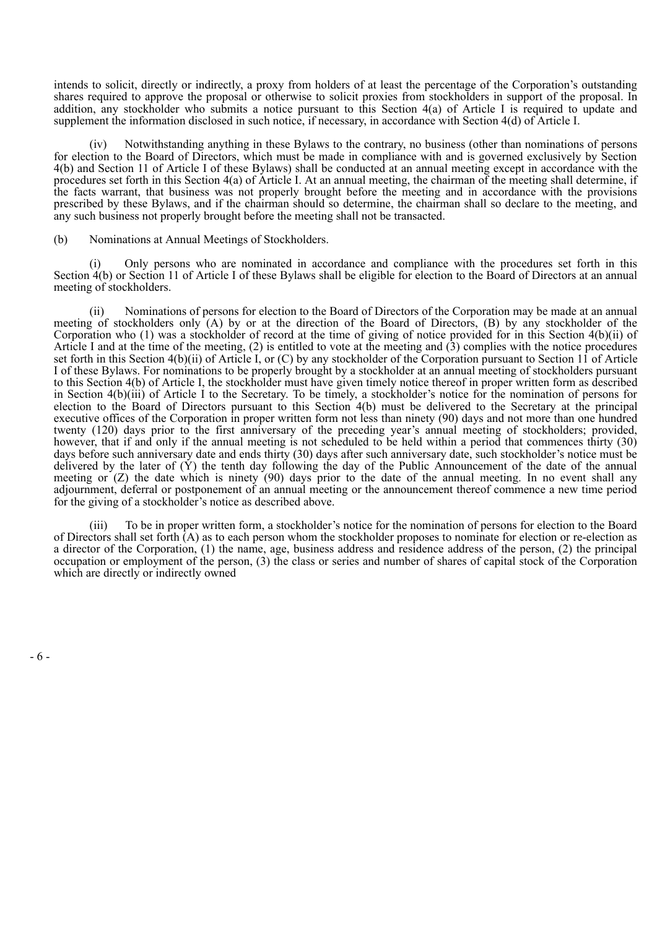intends to solicit, directly or indirectly, a proxy from holders of at least the percentage of the Corporation's outstanding shares required to approve the proposal or otherwise to solicit proxies from stockholders in support of the proposal. In addition, any stockholder who submits a notice pursuant to this Section 4(a) of Article I is required to update and supplement the information disclosed in such notice, if necessary, in accordance with Section 4(d) of Article I.

Notwithstanding anything in these Bylaws to the contrary, no business (other than nominations of persons for election to the Board of Directors, which must be made in compliance with and is governed exclusively by Section 4(b) and Section 11 of Article I of these Bylaws) shall be conducted at an annual meeting except in accordance with the procedures set forth in this Section 4(a) of Article I. At an annual meeting, the chairman of the meeting shall determine, if the facts warrant, that business was not properly brought before the meeting and in accordance with the provisions prescribed by these Bylaws, and if the chairman should so determine, the chairman shall so declare to the meeting, and any such business not properly brought before the meeting shall not be transacted.

(b) Nominations at Annual Meetings of Stockholders.

(i) Only persons who are nominated in accordance and compliance with the procedures set forth in this Section 4(b) or Section 11 of Article I of these Bylaws shall be eligible for election to the Board of Directors at an annual meeting of stockholders.

(ii) Nominations of persons for election to the Board of Directors of the Corporation may be made at an annual meeting of stockholders only (A) by or at the direction of the Board of Directors, (B) by any stockholder of the Corporation who (1) was a stockholder of record at the time of giving of notice provided for in this Section 4(b)(ii) of Article I and at the time of the meeting,  $(2)$  is entitled to vote at the meeting and  $(3)$  complies with the notice procedures set forth in this Section 4(b)(ii) of Article I, or (C) by any stockholder of the Corporation pursuant to Section 11 of Article I of these Bylaws. For nominations to be properly brought by a stockholder at an annual meeting of stockholders pursuant to this Section 4(b) of Article I, the stockholder must have given timely notice thereof in proper written form as described in Section 4(b)(iii) of Article I to the Secretary. To be timely, a stockholder's notice for the nomination of persons for election to the Board of Directors pursuant to this Section 4(b) must be delivered to the Secretary at the principal executive offices of the Corporation in proper written form not less than ninety (90) days and not more than one hundred twenty (120) days prior to the first anniversary of the preceding year's annual meeting of stockholders; provided, however, that if and only if the annual meeting is not scheduled to be held within a period that commences thirty (30) days before such anniversary date and ends thirty (30) days after such anniversary date, such stockholder's notice must be delivered by the later of  $(\check{Y})$  the tenth day following the day of the Public Announcement of the date of the annual meeting or  $(Z)$  the date which is ninety (90) days prior to the date of the annual meeting. In no event shall any adjournment, deferral or postponement of an annual meeting or the announcement thereof commence a new time period for the giving of a stockholder's notice as described above.

(iii) To be in proper written form, a stockholder's notice for the nomination of persons for election to the Board of Directors shall set forth (A) as to each person whom the stockholder proposes to nominate for election or re-election as a director of the Corporation, (1) the name, age, business address and residence address of the person, (2) the principal occupation or employment of the person, (3) the class or series and number of shares of capital stock of the Corporation which are directly or indirectly owned

- 6 -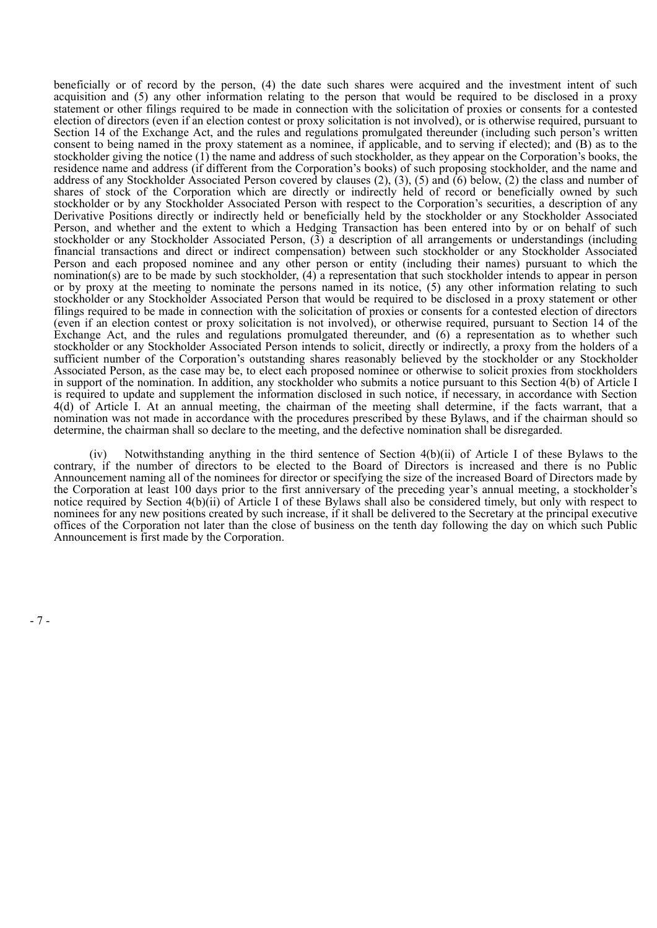beneficially or of record by the person, (4) the date such shares were acquired and the investment intent of such acquisition and (5) any other information relating to the person that would be required to be disclosed in a proxy statement or other filings required to be made in connection with the solicitation of proxies or consents for a contested election of directors (even if an election contest or proxy solicitation is not involved), or is otherwise required, pursuant to Section 14 of the Exchange Act, and the rules and regulations promulgated thereunder (including such person's written consent to being named in the proxy statement as a nominee, if applicable, and to serving if elected); and (B) as to the stockholder giving the notice (1) the name and address of such stockholder, as they appear on the Corporation's books, the residence name and address (if different from the Corporation's books) of such proposing stockholder, and the name and address of any Stockholder Associated Person covered by clauses  $(2)$ ,  $(3)$ ,  $(5)$  and  $(6)$  below,  $(2)$  the class and number of shares of stock of the Corporation which are directly or indirectly held of record or beneficially owned by such stockholder or by any Stockholder Associated Person with respect to the Corporation's securities, a description of any Derivative Positions directly or indirectly held or beneficially held by the stockholder or any Stockholder Associated Person, and whether and the extent to which a Hedging Transaction has been entered into by or on behalf of such stockholder or any Stockholder Associated Person,  $(\overline{3})$  a description of all arrangements or understandings (including financial transactions and direct or indirect compensation) between such stockholder or any Stockholder Associated Person and each proposed nominee and any other person or entity (including their names) pursuant to which the nomination(s) are to be made by such stockholder, (4) a representation that such stockholder intends to appear in person or by proxy at the meeting to nominate the persons named in its notice, (5) any other information relating to such stockholder or any Stockholder Associated Person that would be required to be disclosed in a proxy statement or other filings required to be made in connection with the solicitation of proxies or consents for a contested election of directors (even if an election contest or proxy solicitation is not involved), or otherwise required, pursuant to Section 14 of the Exchange Act, and the rules and regulations promulgated thereunder, and  $(6)$  a representation as to whether such stockholder or any Stockholder Associated Person intends to solicit, directly or indirectly, a proxy from the holders of a sufficient number of the Corporation's outstanding shares reasonably believed by the stockholder or any Stockholder Associated Person, as the case may be, to elect each proposed nominee or otherwise to solicit proxies from stockholders in support of the nomination. In addition, any stockholder who submits a notice pursuant to this Section 4(b) of Article I is required to update and supplement the information disclosed in such notice, if necessary, in accordance with Section 4(d) of Article I. At an annual meeting, the chairman of the meeting shall determine, if the facts warrant, that a nomination was not made in accordance with the procedures prescribed by these Bylaws, and if the chairman should so determine, the chairman shall so declare to the meeting, and the defective nomination shall be disregarded.

(iv) Notwithstanding anything in the third sentence of Section 4(b)(ii) of Article I of these Bylaws to the contrary, if the number of directors to be elected to the Board of Directors is increased and there is no Public Announcement naming all of the nominees for director or specifying the size of the increased Board of Directors made by the Corporation at least 100 days prior to the first anniversary of the preceding year's annual meeting, a stockholder's notice required by Section 4(b)(ii) of Article I of these Bylaws shall also be considered timely, but only with respect to nominees for any new positions created by such increase, if it shall be delivered to the Secretary at the principal executive offices of the Corporation not later than the close of business on the tenth day following the day on which such Public Announcement is first made by the Corporation.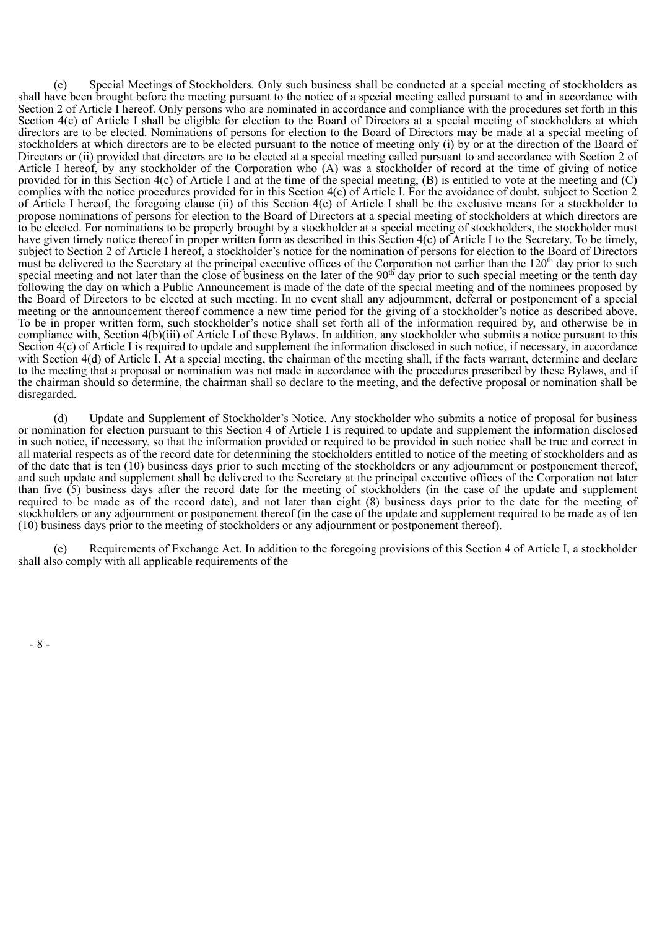(c) Special Meetings of Stockholders*.* Only such business shall be conducted at a special meeting of stockholders as shall have been brought before the meeting pursuant to the notice of a special meeting called pursuant to and in accordance with Section 2 of Article I hereof. Only persons who are nominated in accordance and compliance with the procedures set forth in this Section 4(c) of Article I shall be eligible for election to the Board of Directors at a special meeting of stockholders at which directors are to be elected. Nominations of persons for election to the Board of Directors may be made at a special meeting of stockholders at which directors are to be elected pursuant to the notice of meeting only (i) by or at the direction of the Board of Directors or (ii) provided that directors are to be elected at a special meeting called pursuant to and accordance with Section 2 of Article I hereof, by any stockholder of the Corporation who (A) was a stockholder of record at the time of giving of notice provided for in this Section 4(c) of Article I and at the time of the special meeting, (B) is entitled to vote at the meeting and (C) complies with the notice procedures provided for in this Section 4(c) of Article I. For the avoidance of doubt, subject to Section 2 of Article I hereof, the foregoing clause (ii) of this Section 4(c) of Article I shall be the exclusive means for a stockholder to propose nominations of persons for election to the Board of Directors at a special meeting of stockholders at which directors are to be elected. For nominations to be properly brought by a stockholder at a special meeting of stockholders, the stockholder must have given timely notice thereof in proper written form as described in this Section 4(c) of Article I to the Secretary. To be timely, subject to Section 2 of Article I hereof, a stockholder's notice for the nomination of persons for election to the Board of Directors must be delivered to the Secretary at the principal executive offices of the Corporation not earlier than the  $120<sup>th</sup>$  day prior to such special meeting and not later than the close of business on the later of the  $90<sup>th</sup>$  day prior to such special meeting or the tenth day following the day on which a Public Announcement is made of the date of the special meeting and of the nominees proposed by the Board of Directors to be elected at such meeting. In no event shall any adjournment, deferral or postponement of a special meeting or the announcement thereof commence a new time period for the giving of a stockholder's notice as described above. To be in proper written form, such stockholder's notice shall set forth all of the information required by, and otherwise be in compliance with, Section 4(b)(iii) of Article I of these Bylaws. In addition, any stockholder who submits a notice pursuant to this Section 4(c) of Article I is required to update and supplement the information disclosed in such notice, if necessary, in accordance with Section 4(d) of Article I. At a special meeting, the chairman of the meeting shall, if the facts warrant, determine and declare to the meeting that a proposal or nomination was not made in accordance with the procedures prescribed by these Bylaws, and if the chairman should so determine, the chairman shall so declare to the meeting, and the defective proposal or nomination shall be disregarded. th th

(d) Update and Supplement of Stockholder's Notice. Any stockholder who submits a notice of proposal for business or nomination for election pursuant to this Section 4 of Article I is required to update and supplement the information disclosed in such notice, if necessary, so that the information provided or required to be provided in such notice shall be true and correct in all material respects as of the record date for determining the stockholders entitled to notice of the meeting of stockholders and as of the date that is ten (10) business days prior to such meeting of the stockholders or any adjournment or postponement thereof, and such update and supplement shall be delivered to the Secretary at the principal executive offices of the Corporation not later than five  $(5)$  business days after the record date for the meeting of stockholders (in the case of the update and supplement required to be made as of the record date), and not later than eight (8) business days prior to the date for the meeting of stockholders or any adjournment or postponement thereof (in the case of the update and supplement required to be made as of ten (10) business days prior to the meeting of stockholders or any adjournment or postponement thereof).

(e) Requirements of Exchange Act. In addition to the foregoing provisions of this Section 4 of Article I, a stockholder shall also comply with all applicable requirements of the

- 8 -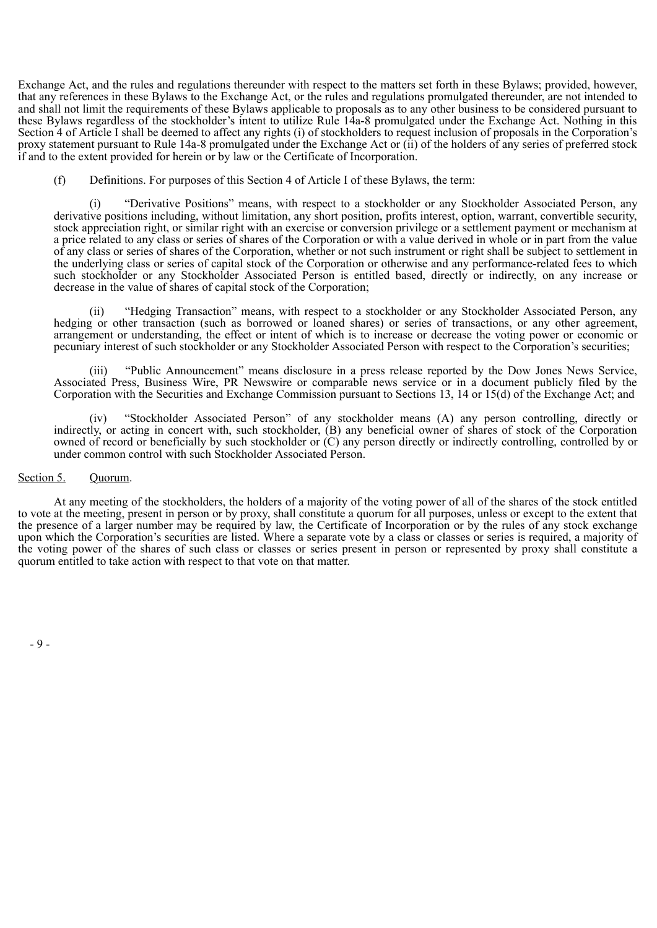Exchange Act, and the rules and regulations thereunder with respect to the matters set forth in these Bylaws; provided, however, that any references in these Bylaws to the Exchange Act, or the rules and regulations promulgated thereunder, are not intended to and shall not limit the requirements of these Bylaws applicable to proposals as to any other business to be considered pursuant to these Bylaws regardless of the stockholder's intent to utilize Rule 14a-8 promulgated under the Exchange Act. Nothing in this Section 4 of Article I shall be deemed to affect any rights (i) of stockholders to request inclusion of proposals in the Corporation's proxy statement pursuant to Rule 14a-8 promulgated under the Exchange Act or (ii) of the holders of any series of preferred stock if and to the extent provided for herein or by law or the Certificate of Incorporation.

(f) Definitions. For purposes of this Section 4 of Article I of these Bylaws, the term:

(i) "Derivative Positions" means, with respect to a stockholder or any Stockholder Associated Person, any derivative positions including, without limitation, any short position, profits interest, option, warrant, convertible security, stock appreciation right, or similar right with an exercise or conversion privilege or a settlement payment or mechanism at a price related to any class or series of shares of the Corporation or with a value derived in whole or in part from the value of any class or series of shares of the Corporation, whether or not such instrument or right shall be subject to settlement in the underlying class or series of capital stock of the Corporation or otherwise and any performance-related fees to which such stockholder or any Stockholder Associated Person is entitled based, directly or indirectly, on any increase or decrease in the value of shares of capital stock of the Corporation;

(ii) "Hedging Transaction" means, with respect to a stockholder or any Stockholder Associated Person, any hedging or other transaction (such as borrowed or loaned shares) or series of transactions, or any other agreement, arrangement or understanding, the effect or intent of which is to increase or decrease the voting power or economic or pecuniary interest of such stockholder or any Stockholder Associated Person with respect to the Corporation's securities;

(iii) "Public Announcement" means disclosure in a press release reported by the Dow Jones News Service, Associated Press, Business Wire, PR Newswire or comparable news service or in a document publicly filed by the Corporation with the Securities and Exchange Commission pursuant to Sections 13, 14 or 15(d) of the Exchange Act; and

(iv) "Stockholder Associated Person" of any stockholder means (A) any person controlling, directly or indirectly, or acting in concert with, such stockholder, (B) any beneficial owner of shares of stock of the Corporation owned of record or beneficially by such stockholder or (C) any person directly or indirectly controlling, controlled by or under common control with such Stockholder Associated Person.

# Section 5. Ouorum.

At any meeting of the stockholders, the holders of a majority of the voting power of all of the shares of the stock entitled to vote at the meeting, present in person or by proxy, shall constitute a quorum for all purposes, unless or except to the extent that the presence of a larger number may be required by law, the Certificate of Incorporation or by the rules of any stock exchange upon which the Corporation's securities are listed. Where a separate vote by a class or classes or series is required, a majority of the voting power of the shares of such class or classes or series present in person or represented by proxy shall constitute a quorum entitled to take action with respect to that vote on that matter.

- 9 -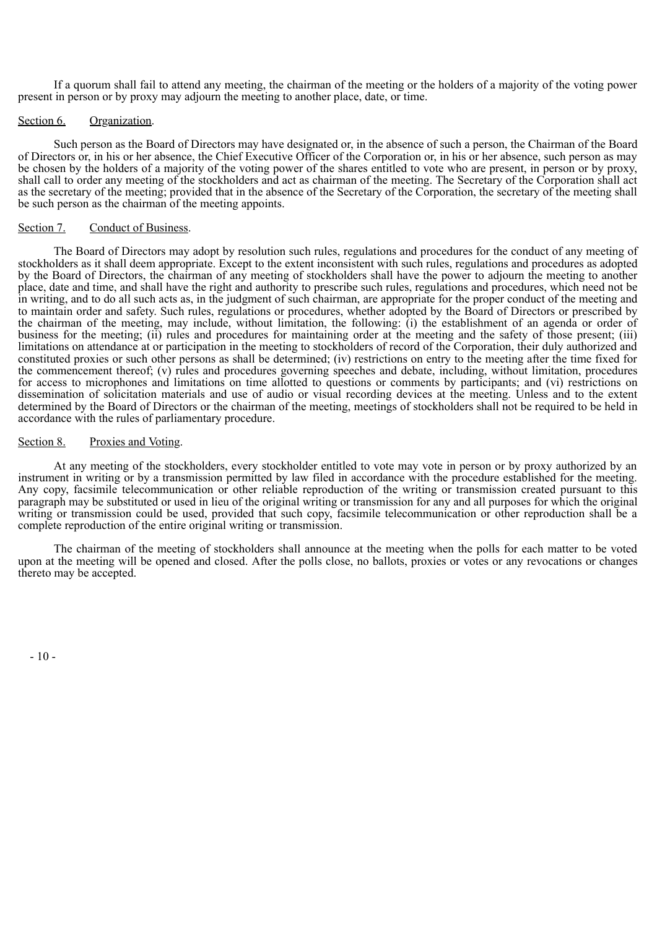If a quorum shall fail to attend any meeting, the chairman of the meeting or the holders of a majority of the voting power present in person or by proxy may adjourn the meeting to another place, date, or time.

#### Section 6. Organization.

Such person as the Board of Directors may have designated or, in the absence of such a person, the Chairman of the Board of Directors or, in his or her absence, the Chief Executive Officer of the Corporation or, in his or her absence, such person as may be chosen by the holders of a majority of the voting power of the shares entitled to vote who are present, in person or by proxy, shall call to order any meeting of the stockholders and act as chairman of the meeting. The Secretary of the Corporation shall act as the secretary of the meeting; provided that in the absence of the Secretary of the Corporation, the secretary of the meeting shall be such person as the chairman of the meeting appoints.

#### Section 7. Conduct of Business.

The Board of Directors may adopt by resolution such rules, regulations and procedures for the conduct of any meeting of stockholders as it shall deem appropriate. Except to the extent inconsistent with such rules, regulations and procedures as adopted by the Board of Directors, the chairman of any meeting of stockholders shall have the power to adjourn the meeting to another place, date and time, and shall have the right and authority to prescribe such rules, regulations and procedures, which need not be in writing, and to do all such acts as, in the judgment of such chairman, are appropriate for the proper conduct of the meeting and to maintain order and safety. Such rules, regulations or procedures, whether adopted by the Board of Directors or prescribed by the chairman of the meeting, may include, without limitation, the following: (i) the establishment of an agenda or order of business for the meeting; (ii) rules and procedures for maintaining order at the meeting and the safety of those present; (iii) limitations on attendance at or participation in the meeting to stockholders of record of the Corporation, their duly authorized and constituted proxies or such other persons as shall be determined; (iv) restrictions on entry to the meeting after the time fixed for the commencement thereof; (v) rules and procedures governing speeches and debate, including, without limitation, procedures for access to microphones and limitations on time allotted to questions or comments by participants; and (vi) restrictions on dissemination of solicitation materials and use of audio or visual recording devices at the meeting. Unless and to the extent determined by the Board of Directors or the chairman of the meeting, meetings of stockholders shall not be required to be held in accordance with the rules of parliamentary procedure.

#### Section 8. Proxies and Voting.

At any meeting of the stockholders, every stockholder entitled to vote may vote in person or by proxy authorized by an instrument in writing or by a transmission permitted by law filed in accordance with the procedure established for the meeting. Any copy, facsimile telecommunication or other reliable reproduction of the writing or transmission created pursuant to this paragraph may be substituted or used in lieu of the original writing or transmission for any and all purposes for which the original writing or transmission could be used, provided that such copy, facsimile telecommunication or other reproduction shall be a complete reproduction of the entire original writing or transmission.

The chairman of the meeting of stockholders shall announce at the meeting when the polls for each matter to be voted upon at the meeting will be opened and closed. After the polls close, no ballots, proxies or votes or any revocations or changes thereto may be accepted.

 $-10-$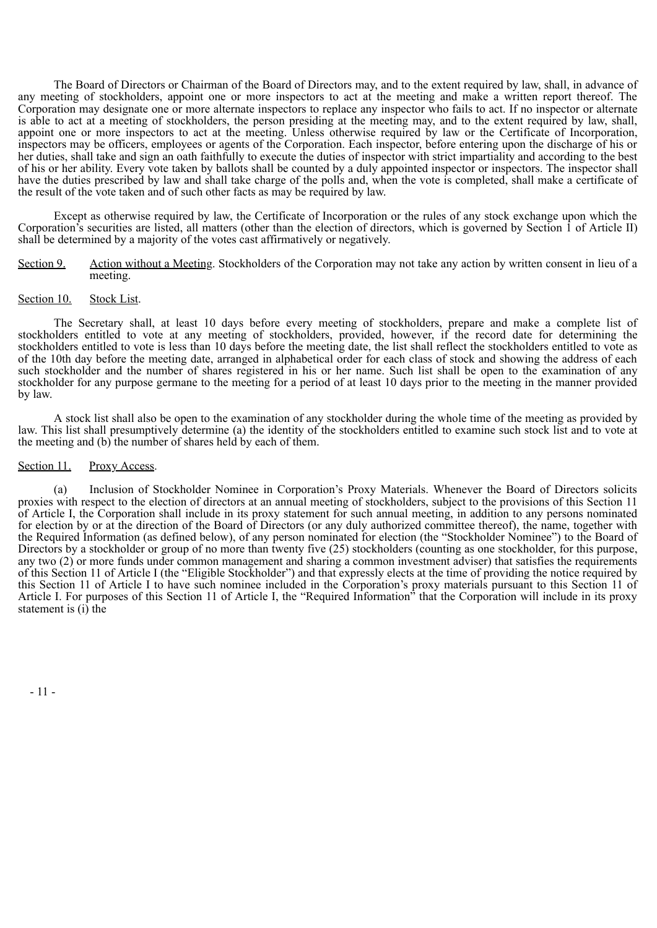The Board of Directors or Chairman of the Board of Directors may, and to the extent required by law, shall, in advance of any meeting of stockholders, appoint one or more inspectors to act at the meeting and make a written report thereof. The Corporation may designate one or more alternate inspectors to replace any inspector who fails to act. If no inspector or alternate is able to act at a meeting of stockholders, the person presiding at the meeting may, and to the extent required by law, shall, appoint one or more inspectors to act at the meeting. Unless otherwise required by law or the Certificate of Incorporation, inspectors may be officers, employees or agents of the Corporation. Each inspector, before entering upon the discharge of his or her duties, shall take and sign an oath faithfully to execute the duties of inspector with strict impartiality and according to the best of his or her ability. Every vote taken by ballots shall be counted by a duly appointed inspector or inspectors. The inspector shall have the duties prescribed by law and shall take charge of the polls and, when the vote is completed, shall make a certificate of the result of the vote taken and of such other facts as may be required by law.

Except as otherwise required by law, the Certificate of Incorporation or the rules of any stock exchange upon which the Corporation's securities are listed, all matters (other than the election of directors, which is governed by Section 1 of Article II) shall be determined by a majority of the votes cast affirmatively or negatively.

#### Section 9. Action without a Meeting. Stockholders of the Corporation may not take any action by written consent in lieu of a meeting.

#### Section 10. Stock List.

The Secretary shall, at least 10 days before every meeting of stockholders, prepare and make a complete list of stockholders entitled to vote at any meeting of stockholders, provided, however, if the record date for determining the stockholders entitled to vote is less than 10 days before the meeting date, the list shall reflect the stockholders entitled to vote as of the 10th day before the meeting date, arranged in alphabetical order for each class of stock and showing the address of each such stockholder and the number of shares registered in his or her name. Such list shall be open to the examination of any stockholder for any purpose germane to the meeting for a period of at least 10 days prior to the meeting in the manner provided by law.

A stock list shall also be open to the examination of any stockholder during the whole time of the meeting as provided by law. This list shall presumptively determine (a) the identity of the stockholders entitled to examine such stock list and to vote at the meeting and (b) the number of shares held by each of them.

# Section 11. Proxy Access.

(a) Inclusion of Stockholder Nominee in Corporation's Proxy Materials. Whenever the Board of Directors solicits proxies with respect to the election of directors at an annual meeting of stockholders, subject to the provisions of this Section 11 of Article I, the Corporation shall include in its proxy statement for such annual meeting, in addition to any persons nominated for election by or at the direction of the Board of Directors (or any duly authorized committee thereof), the name, together with the Required Information (as defined below), of any person nominated for election (the "Stockholder Nominee") to the Board of Directors by a stockholder or group of no more than twenty five (25) stockholders (counting as one stockholder, for this purpose, any two (2) or more funds under common management and sharing a common investment adviser) that satisfies the requirements of this Section 11 of Article I (the "Eligible Stockholder") and that expressly elects at the time of providing the notice required by this Section 11 of Article I to have such nominee included in the Corporation's proxy materials pursuant to this Section 11 of Article I. For purposes of this Section 11 of Article I, the "Required Information" that the Corporation will include in its proxy statement is (i) the

- 11 -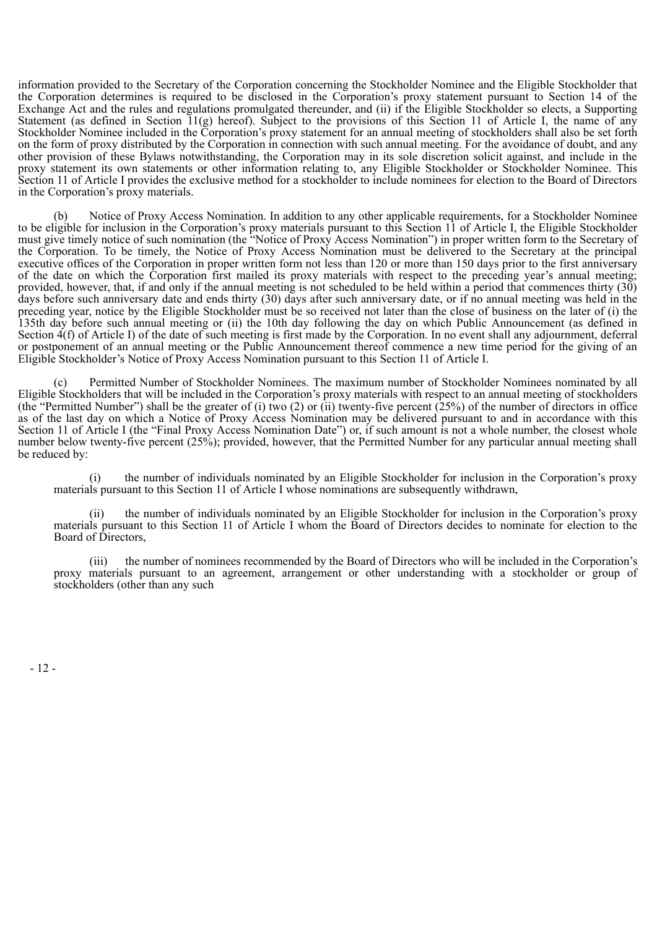information provided to the Secretary of the Corporation concerning the Stockholder Nominee and the Eligible Stockholder that the Corporation determines is required to be disclosed in the Corporation's proxy statement pursuant to Section 14 of the Exchange Act and the rules and regulations promulgated thereunder, and (ii) if the Eligible Stockholder so elects, a Supporting Statement (as defined in Section 11(g) hereof). Subject to the provisions of this Section 11 of Article I, the name of any Stockholder Nominee included in the Corporation's proxy statement for an annual meeting of stockholders shall also be set forth on the form of proxy distributed by the Corporation in connection with such annual meeting. For the avoidance of doubt, and any other provision of these Bylaws notwithstanding, the Corporation may in its sole discretion solicit against, and include in the proxy statement its own statements or other information relating to, any Eligible Stockholder or Stockholder Nominee. This Section 11 of Article I provides the exclusive method for a stockholder to include nominees for election to the Board of Directors in the Corporation's proxy materials.

Notice of Proxy Access Nomination. In addition to any other applicable requirements, for a Stockholder Nominee to be eligible for inclusion in the Corporation's proxy materials pursuant to this Section 11 of Article I, the Eligible Stockholder must give timely notice of such nomination (the "Notice of Proxy Access Nomination") in proper written form to the Secretary of the Corporation. To be timely, the Notice of Proxy Access Nomination must be delivered to the Secretary at the principal executive offices of the Corporation in proper written form not less than 120 or more than 150 days prior to the first anniversary of the date on which the Corporation first mailed its proxy materials with respect to the preceding year's annual meeting; provided, however, that, if and only if the annual meeting is not scheduled to be held within a period that commences thirty  $(30)$ days before such anniversary date and ends thirty (30) days after such anniversary date, or if no annual meeting was held in the preceding year, notice by the Eligible Stockholder must be so received not later than the close of business on the later of (i) the 135th day before such annual meeting or (ii) the 10th day following the day on which Public Announcement (as defined in Section  $\vec{4}(f)$  of Article I) of the date of such meeting is first made by the Corporation. In no event shall any adjournment, deferral or postponement of an annual meeting or the Public Announcement thereof commence a new time period for the giving of an Eligible Stockholder's Notice of Proxy Access Nomination pursuant to this Section 11 of Article I.

Permitted Number of Stockholder Nominees. The maximum number of Stockholder Nominees nominated by all Eligible Stockholders that will be included in the Corporation's proxy materials with respect to an annual meeting of stockholders (the "Permitted Number") shall be the greater of (i) two (2) or (ii) twenty-five percent (25%) of the number of directors in office as of the last day on which a Notice of Proxy Access Nomination may be delivered pursuant to and in accordance with this Section 11 of Article I (the "Final Proxy Access Nomination Date") or, if such amount is not a whole number, the closest whole number below twenty-five percent (25%); provided, however, that the Permitted Number for any particular annual meeting shall be reduced by:

(i) the number of individuals nominated by an Eligible Stockholder for inclusion in the Corporation's proxy materials pursuant to this Section 11 of Article I whose nominations are subsequently withdrawn,

the number of individuals nominated by an Eligible Stockholder for inclusion in the Corporation's proxy materials pursuant to this Section 11 of Article I whom the Board of Directors decides to nominate for election to the Board of Directors,

(iii) the number of nominees recommended by the Board of Directors who will be included in the Corporation's proxy materials pursuant to an agreement, arrangement or other understanding with a stockholder or group of stockholders (other than any such

- 12 -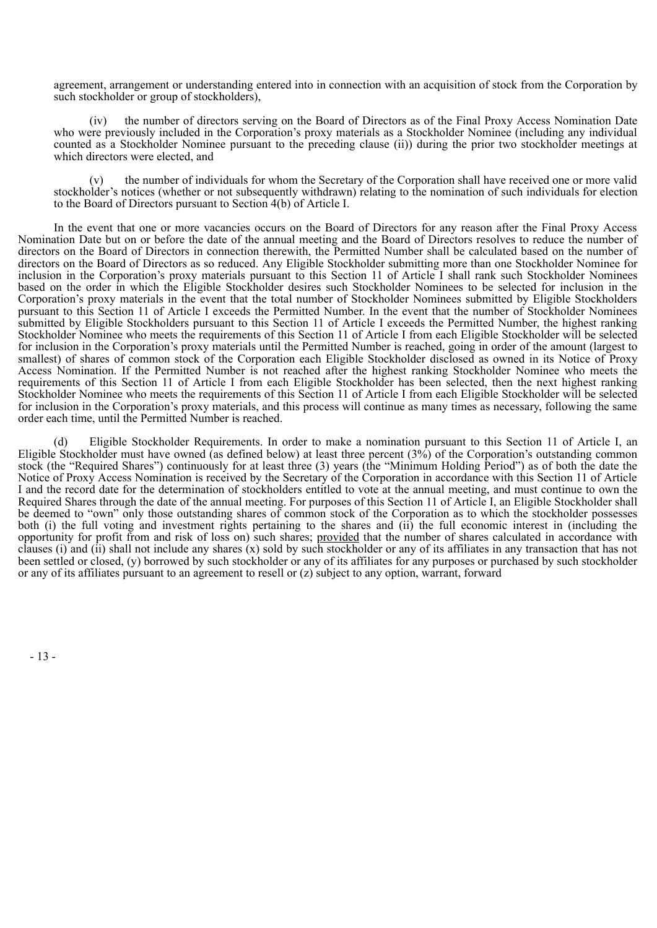agreement, arrangement or understanding entered into in connection with an acquisition of stock from the Corporation by such stockholder or group of stockholders),

(iv) the number of directors serving on the Board of Directors as of the Final Proxy Access Nomination Date who were previously included in the Corporation's proxy materials as a Stockholder Nominee (including any individual counted as a Stockholder Nominee pursuant to the preceding clause (ii)) during the prior two stockholder meetings at which directors were elected, and

the number of individuals for whom the Secretary of the Corporation shall have received one or more valid stockholder's notices (whether or not subsequently withdrawn) relating to the nomination of such individuals for election to the Board of Directors pursuant to Section 4(b) of Article I.

In the event that one or more vacancies occurs on the Board of Directors for any reason after the Final Proxy Access Nomination Date but on or before the date of the annual meeting and the Board of Directors resolves to reduce the number of directors on the Board of Directors in connection therewith, the Permitted Number shall be calculated based on the number of directors on the Board of Directors as so reduced. Any Eligible Stockholder submitting more than one Stockholder Nominee for inclusion in the Corporation's proxy materials pursuant to this Section 11 of Article I shall rank such Stockholder Nominees based on the order in which the Eligible Stockholder desires such Stockholder Nominees to be selected for inclusion in the Corporation's proxy materials in the event that the total number of Stockholder Nominees submitted by Eligible Stockholders pursuant to this Section 11 of Article I exceeds the Permitted Number. In the event that the number of Stockholder Nominees submitted by Eligible Stockholders pursuant to this Section 11 of Article I exceeds the Permitted Number, the highest ranking Stockholder Nominee who meets the requirements of this Section 11 of Article I from each Eligible Stockholder will be selected for inclusion in the Corporation's proxy materials until the Permitted Number is reached, going in order of the amount (largest to smallest) of shares of common stock of the Corporation each Eligible Stockholder disclosed as owned in its Notice of Proxy Access Nomination. If the Permitted Number is not reached after the highest ranking Stockholder Nominee who meets the requirements of this Section 11 of Article I from each Eligible Stockholder has been selected, then the next highest ranking Stockholder Nominee who meets the requirements of this Section 11 of Article I from each Eligible Stockholder will be selected for inclusion in the Corporation's proxy materials, and this process will continue as many times as necessary, following the same order each time, until the Permitted Number is reached.

(d) Eligible Stockholder Requirements. In order to make a nomination pursuant to this Section 11 of Article I, an Eligible Stockholder must have owned (as defined below) at least three percent  $(3\%)$  of the Corporation's outstanding common stock (the "Required Shares") continuously for at least three (3) years (the "Minimum Holding Period") as of both the date the Notice of Proxy Access Nomination is received by the Secretary of the Corporation in accordance with this Section 11 of Article I and the record date for the determination of stockholders entitled to vote at the annual meeting, and must continue to own the Required Shares through the date of the annual meeting. For purposes of this Section 11 of Article I, an Eligible Stockholder shall be deemed to "own" only those outstanding shares of common stock of the Corporation as to which the stockholder possesses both (i) the full voting and investment rights pertaining to the shares and (ii) the full economic interest in (including the opportunity for profit from and risk of loss on) such shares; provided that the number of shares calculated in accordance with clauses (i) and (ii) shall not include any shares (x) sold by such stockholder or any of its affiliates in any transaction that has not been settled or closed, (y) borrowed by such stockholder or any of its affiliates for any purposes or purchased by such stockholder or any of its affiliates pursuant to an agreement to resell or (z) subject to any option, warrant, forward

- 13 -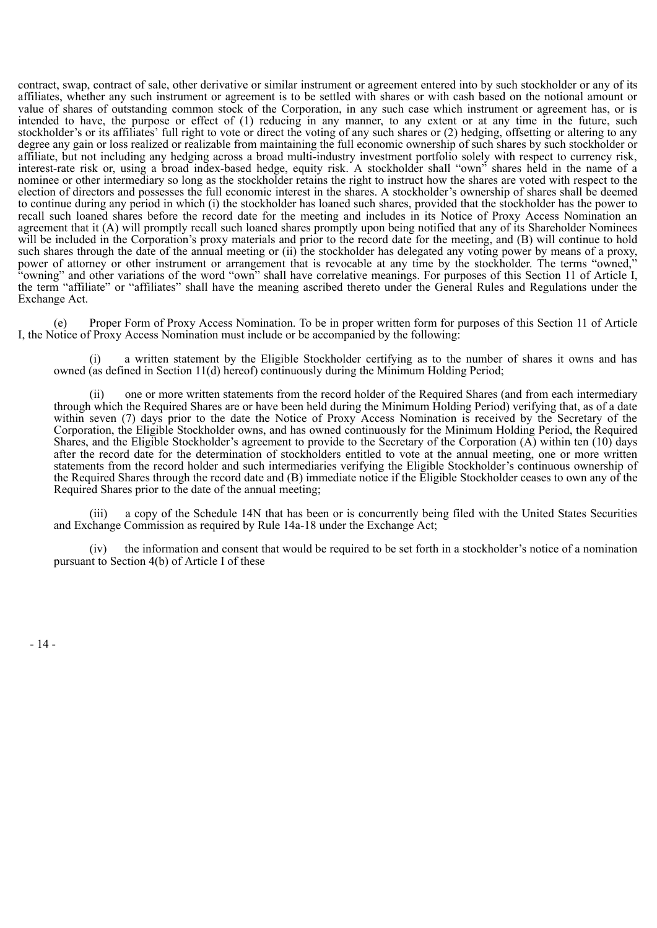contract, swap, contract of sale, other derivative or similar instrument or agreement entered into by such stockholder or any of its affiliates, whether any such instrument or agreement is to be settled with shares or with cash based on the notional amount or value of shares of outstanding common stock of the Corporation, in any such case which instrument or agreement has, or is intended to have, the purpose or effect of (1) reducing in any manner, to any extent or at any time in the future, such stockholder's or its affiliates' full right to vote or direct the voting of any such shares or (2) hedging, offsetting or altering to any degree any gain or loss realized or realizable from maintaining the full economic ownership of such shares by such stockholder or affiliate, but not including any hedging across a broad multi-industry investment portfolio solely with respect to currency risk, interest-rate risk or, using a broad index-based hedge, equity risk. A stockholder shall "own" shares held in the name of a nominee or other intermediary so long as the stockholder retains the right to instruct how the shares are voted with respect to the election of directors and possesses the full economic interest in the shares. A stockholder's ownership of shares shall be deemed to continue during any period in which (i) the stockholder has loaned such shares, provided that the stockholder has the power to recall such loaned shares before the record date for the meeting and includes in its Notice of Proxy Access Nomination an agreement that it (A) will promptly recall such loaned shares promptly upon being notified that any of its Shareholder Nominees will be included in the Corporation's proxy materials and prior to the record date for the meeting, and (B) will continue to hold such shares through the date of the annual meeting or (ii) the stockholder has delegated any voting power by means of a proxy, power of attorney or other instrument or arrangement that is revocable at any time by the stockholder. The terms "owned," "owning" and other variations of the word "own" shall have correlative meanings. For purposes of this Section 11 of Article I, the term "affiliate" or "affiliates" shall have the meaning ascribed thereto under the General Rules and Regulations under the Exchange Act.

Proper Form of Proxy Access Nomination. To be in proper written form for purposes of this Section 11 of Article I, the Notice of Proxy Access Nomination must include or be accompanied by the following:

(i) a written statement by the Eligible Stockholder certifying as to the number of shares it owns and has owned (as defined in Section 11(d) hereof) continuously during the Minimum Holding Period;

one or more written statements from the record holder of the Required Shares (and from each intermediary through which the Required Shares are or have been held during the Minimum Holding Period) verifying that, as of a date within seven (7) days prior to the date the Notice of Proxy Access Nomination is received by the Secretary of the Corporation, the Eligible Stockholder owns, and has owned continuously for the Minimum Holding Period, the Required Shares, and the Eligible Stockholder's agreement to provide to the Secretary of the Corporation (A) within ten (10) days after the record date for the determination of stockholders entitled to vote at the annual meeting, one or more written statements from the record holder and such intermediaries verifying the Eligible Stockholder's continuous ownership of the Required Shares through the record date and (B) immediate notice if the Eligible Stockholder ceases to own any of the Required Shares prior to the date of the annual meeting;

(iii) a copy of the Schedule 14N that has been or is concurrently being filed with the United States Securities and Exchange Commission as required by Rule 14a-18 under the Exchange Act;

(iv) the information and consent that would be required to be set forth in a stockholder's notice of a nomination pursuant to Section 4(b) of Article I of these

- 14 -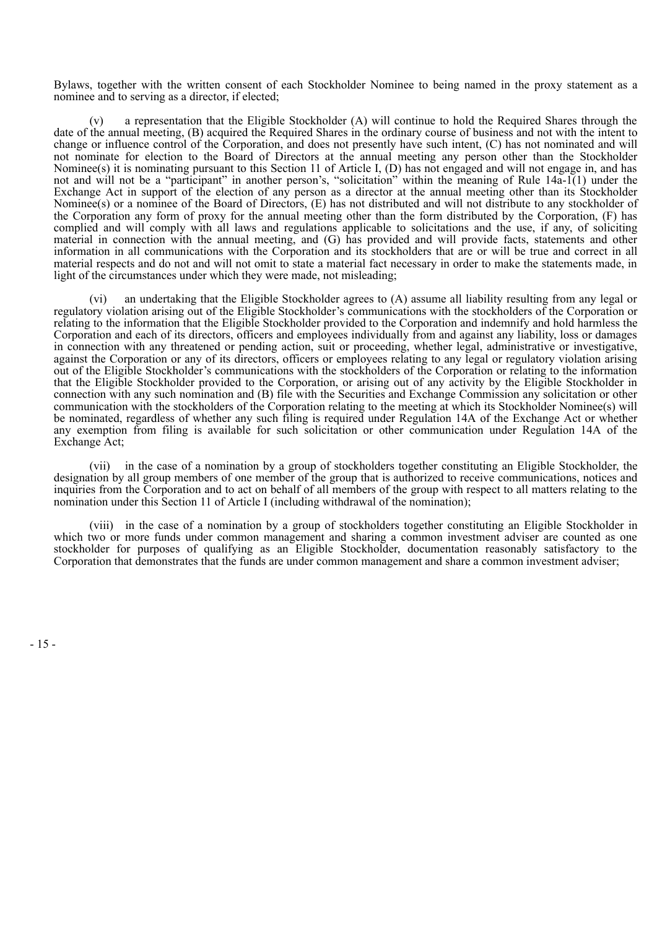Bylaws, together with the written consent of each Stockholder Nominee to being named in the proxy statement as a nominee and to serving as a director, if elected;

a representation that the Eligible Stockholder  $(A)$  will continue to hold the Required Shares through the date of the annual meeting, (B) acquired the Required Shares in the ordinary course of business and not with the intent to change or influence control of the Corporation, and does not presently have such intent, (C) has not nominated and will not nominate for election to the Board of Directors at the annual meeting any person other than the Stockholder Nominee(s) it is nominating pursuant to this Section 11 of Article I, (D) has not engaged and will not engage in, and has not and will not be a "participant" in another person's, "solicitation" within the meaning of Rule 14a-1(1) under the Exchange Act in support of the election of any person as a director at the annual meeting other than its Stockholder Nominee(s) or a nominee of the Board of Directors, (E) has not distributed and will not distribute to any stockholder of the Corporation any form of proxy for the annual meeting other than the form distributed by the Corporation, (F) has complied and will comply with all laws and regulations applicable to solicitations and the use, if any, of soliciting material in connection with the annual meeting, and (G) has provided and will provide facts, statements and other information in all communications with the Corporation and its stockholders that are or will be true and correct in all material respects and do not and will not omit to state a material fact necessary in order to make the statements made, in light of the circumstances under which they were made, not misleading;

(vi) an undertaking that the Eligible Stockholder agrees to (A) assume all liability resulting from any legal or regulatory violation arising out of the Eligible Stockholder's communications with the stockholders of the Corporation or relating to the information that the Eligible Stockholder provided to the Corporation and indemnify and hold harmless the Corporation and each of its directors, officers and employees individually from and against any liability, loss or damages in connection with any threatened or pending action, suit or proceeding, whether legal, administrative or investigative, against the Corporation or any of its directors, officers or employees relating to any legal or regulatory violation arising out of the Eligible Stockholder's communications with the stockholders of the Corporation or relating to the information that the Eligible Stockholder provided to the Corporation, or arising out of any activity by the Eligible Stockholder in connection with any such nomination and (B) file with the Securities and Exchange Commission any solicitation or other communication with the stockholders of the Corporation relating to the meeting at which its Stockholder Nominee(s) will be nominated, regardless of whether any such filing is required under Regulation 14A of the Exchange Act or whether any exemption from filing is available for such solicitation or other communication under Regulation 14A of the Exchange Act;

(vii) in the case of a nomination by a group of stockholders together constituting an Eligible Stockholder, the designation by all group members of one member of the group that is authorized to receive communications, notices and inquiries from the Corporation and to act on behalf of all members of the group with respect to all matters relating to the nomination under this Section 11 of Article I (including withdrawal of the nomination);

(viii) in the case of a nomination by a group of stockholders together constituting an Eligible Stockholder in which two or more funds under common management and sharing a common investment adviser are counted as one stockholder for purposes of qualifying as an Eligible Stockholder, documentation reasonably satisfactory to the Corporation that demonstrates that the funds are under common management and share a common investment adviser;

- 15 -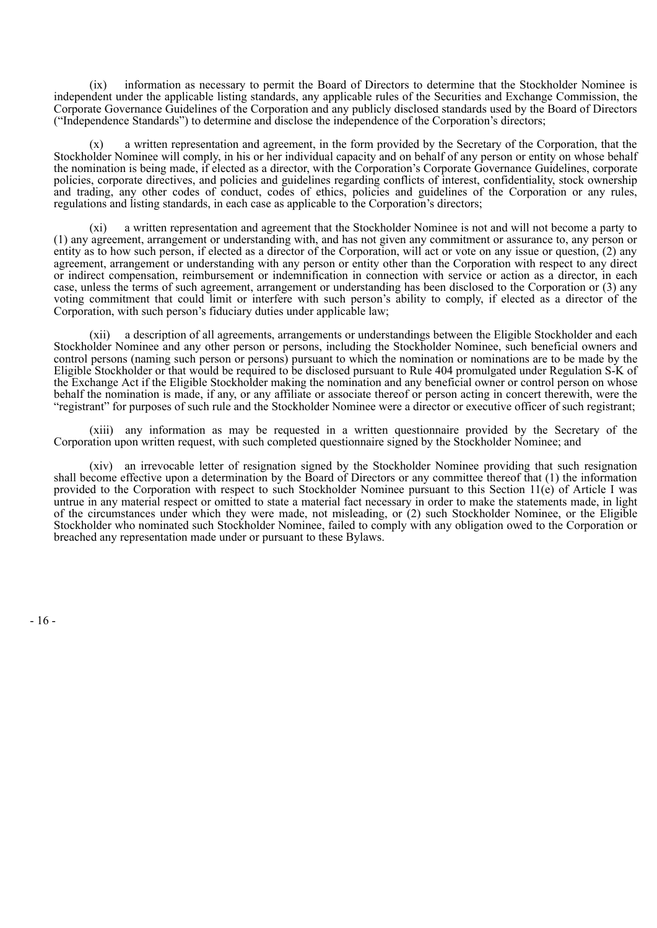(ix) information as necessary to permit the Board of Directors to determine that the Stockholder Nominee is independent under the applicable listing standards, any applicable rules of the Securities and Exchange Commission, the Corporate Governance Guidelines of the Corporation and any publicly disclosed standards used by the Board of Directors ("Independence Standards") to determine and disclose the independence of the Corporation's directors;

a written representation and agreement, in the form provided by the Secretary of the Corporation, that the Stockholder Nominee will comply, in his or her individual capacity and on behalf of any person or entity on whose behalf the nomination is being made, if elected as a director, with the Corporation's Corporate Governance Guidelines, corporate policies, corporate directives, and policies and guidelines regarding conflicts of interest, confidentiality, stock ownership and trading, any other codes of conduct, codes of ethics, policies and guidelines of the Corporation or any rules, regulations and listing standards, in each case as applicable to the Corporation's directors;

(xi) a written representation and agreement that the Stockholder Nominee is not and will not become a party to (1) any agreement, arrangement or understanding with, and has not given any commitment or assurance to, any person or entity as to how such person, if elected as a director of the Corporation, will act or vote on any issue or question, (2) any agreement, arrangement or understanding with any person or entity other than the Corporation with respect to any direct or indirect compensation, reimbursement or indemnification in connection with service or action as a director, in each case, unless the terms of such agreement, arrangement or understanding has been disclosed to the Corporation or (3) any voting commitment that could limit or interfere with such person's ability to comply, if elected as a director of the Corporation, with such person's fiduciary duties under applicable law;

(xii) a description of all agreements, arrangements or understandings between the Eligible Stockholder and each Stockholder Nominee and any other person or persons, including the Stockholder Nominee, such beneficial owners and control persons (naming such person or persons) pursuant to which the nomination or nominations are to be made by the Eligible Stockholder or that would be required to be disclosed pursuant to Rule 404 promulgated under Regulation S-K of the Exchange Act if the Eligible Stockholder making the nomination and any beneficial owner or control person on whose behalf the nomination is made, if any, or any affiliate or associate thereof or person acting in concert therewith, were the "registrant" for purposes of such rule and the Stockholder Nominee were a director or executive officer of such registrant;

(xiii) any information as may be requested in a written questionnaire provided by the Secretary of the Corporation upon written request, with such completed questionnaire signed by the Stockholder Nominee; and

(xiv) an irrevocable letter of resignation signed by the Stockholder Nominee providing that such resignation shall become effective upon a determination by the Board of Directors or any committee thereof that (1) the information provided to the Corporation with respect to such Stockholder Nominee pursuant to this Section 11(e) of Article I was untrue in any material respect or omitted to state a material fact necessary in order to make the statements made, in light of the circumstances under which they were made, not misleading, or (2) such Stockholder Nominee, or the Eligible Stockholder who nominated such Stockholder Nominee, failed to comply with any obligation owed to the Corporation or breached any representation made under or pursuant to these Bylaws.

- 16 -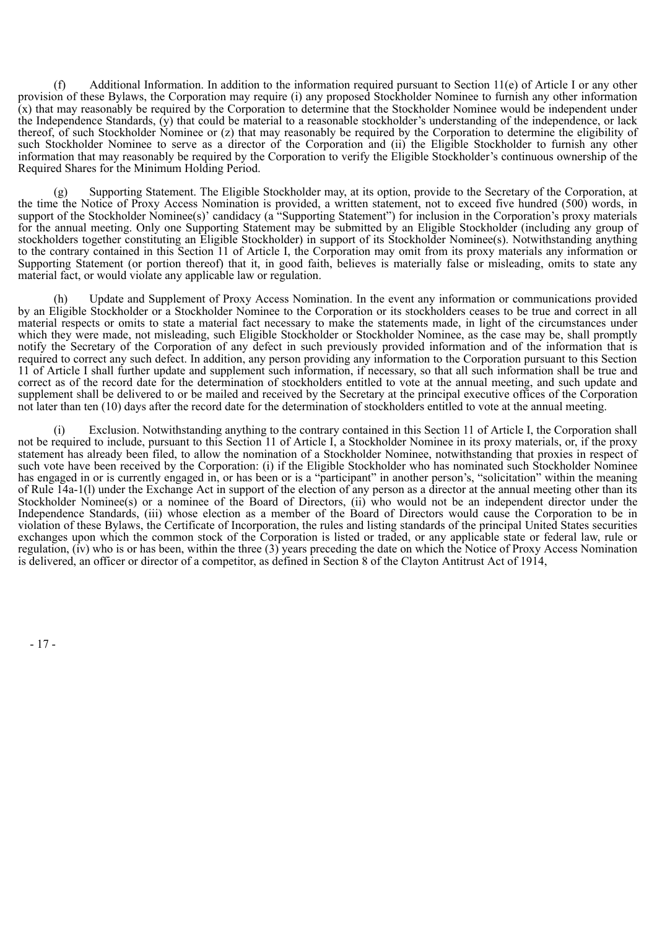(f) Additional Information. In addition to the information required pursuant to Section 11(e) of Article I or any other provision of these Bylaws, the Corporation may require (i) any proposed Stockholder Nominee to furnish any other information  $(x)$  that may reasonably be required by the Corporation to determine that the Stockholder Nominee would be independent under the Independence Standards, (y) that could be material to a reasonable stockholder's understanding of the independence, or lack thereof, of such Stockholder Nominee or (z) that may reasonably be required by the Corporation to determine the eligibility of such Stockholder Nominee to serve as a director of the Corporation and (ii) the Eligible Stockholder to furnish any other information that may reasonably be required by the Corporation to verify the Eligible Stockholder's continuous ownership of the Required Shares for the Minimum Holding Period.

(g) Supporting Statement. The Eligible Stockholder may, at its option, provide to the Secretary of the Corporation, at the time the Notice of Proxy Access Nomination is provided, a written statement, not to exceed five hundred (500) words, in support of the Stockholder Nominee(s)' candidacy (a "Supporting Statement") for inclusion in the Corporation's proxy materials for the annual meeting. Only one Supporting Statement may be submitted by an Eligible Stockholder (including any group of stockholders together constituting an Eligible Stockholder) in support of its Stockholder Nominee(s). Notwithstanding anything to the contrary contained in this Section 11 of Article I, the Corporation may omit from its proxy materials any information or Supporting Statement (or portion thereof) that it, in good faith, believes is materially false or misleading, omits to state any material fact, or would violate any applicable law or regulation.

Update and Supplement of Proxy Access Nomination. In the event any information or communications provided by an Eligible Stockholder or a Stockholder Nominee to the Corporation or its stockholders ceases to be true and correct in all material respects or omits to state a material fact necessary to make the statements made, in light of the circumstances under which they were made, not misleading, such Eligible Stockholder or Stockholder Nominee, as the case may be, shall promptly notify the Secretary of the Corporation of any defect in such previously provided information and of the information that is required to correct any such defect. In addition, any person providing any information to the Corporation pursuant to this Section 11 of Article I shall further update and supplement such information, if necessary, so that all such information shall be true and correct as of the record date for the determination of stockholders entitled to vote at the annual meeting, and such update and supplement shall be delivered to or be mailed and received by the Secretary at the principal executive offices of the Corporation not later than ten (10) days after the record date for the determination of stockholders entitled to vote at the annual meeting.

(i) Exclusion. Notwithstanding anything to the contrary contained in this Section 11 of Article I, the Corporation shall not be required to include, pursuant to this Section 11 of Article I, a Stockholder Nominee in its proxy materials, or, if the proxy statement has already been filed, to allow the nomination of a Stockholder Nominee, notwithstanding that proxies in respect of such vote have been received by the Corporation: (i) if the Eligible Stockholder who has nominated such Stockholder Nominee has engaged in or is currently engaged in, or has been or is a "participant" in another person's, "solicitation" within the meaning of Rule 14a-1(l) under the Exchange Act in support of the election of any person as a director at the annual meeting other than its Stockholder Nominee(s) or a nominee of the Board of Directors, (ii) who would not be an independent director under the Independence Standards, (iii) whose election as a member of the Board of Directors would cause the Corporation to be in violation of these Bylaws, the Certificate of Incorporation, the rules and listing standards of the principal United States securities exchanges upon which the common stock of the Corporation is listed or traded, or any applicable state or federal law, rule or regulation,  $(iv)$  who is or has been, within the three  $(3)$  years preceding the date on which the Notice of Proxy Access Nomination is delivered, an officer or director of a competitor, as defined in Section 8 of the Clayton Antitrust Act of 1914,

- 17 -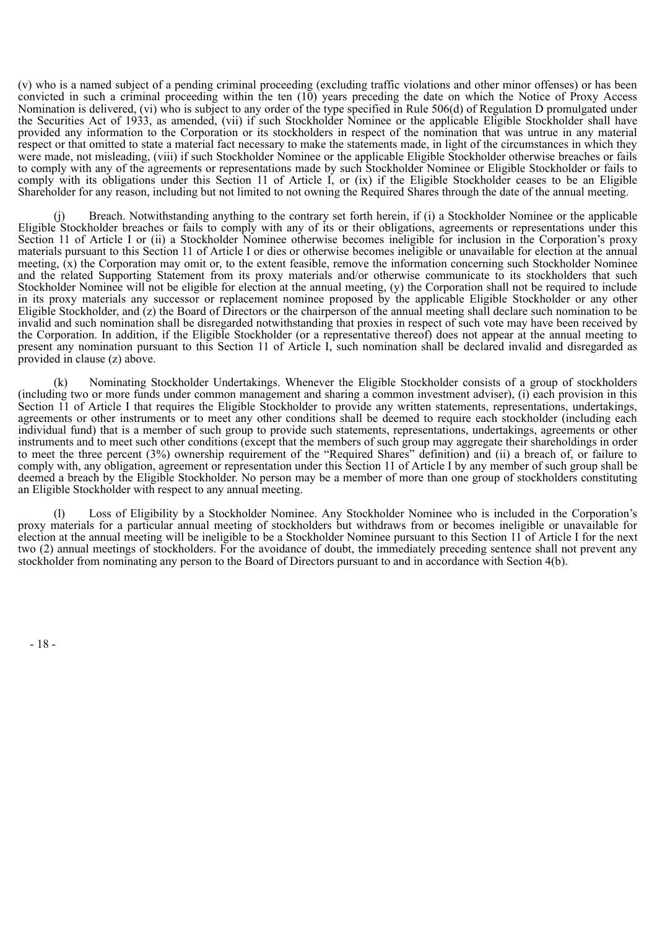(v) who is a named subject of a pending criminal proceeding (excluding traffic violations and other minor offenses) or has been convicted in such a criminal proceeding within the ten  $(10)$  years preceding the date on which the Notice of Proxy Access Nomination is delivered, (vi) who is subject to any order of the type specified in Rule 506(d) of Regulation D promulgated under the Securities Act of 1933, as amended, (vii) if such Stockholder Nominee or the applicable Eligible Stockholder shall have provided any information to the Corporation or its stockholders in respect of the nomination that was untrue in any material respect or that omitted to state a material fact necessary to make the statements made, in light of the circumstances in which they were made, not misleading, (viii) if such Stockholder Nominee or the applicable Eligible Stockholder otherwise breaches or fails to comply with any of the agreements or representations made by such Stockholder Nominee or Eligible Stockholder or fails to comply with its obligations under this Section 11 of Article I, or (ix) if the Eligible Stockholder ceases to be an Eligible Shareholder for any reason, including but not limited to not owning the Required Shares through the date of the annual meeting.

Breach. Notwithstanding anything to the contrary set forth herein, if (i) a Stockholder Nominee or the applicable Eligible Stockholder breaches or fails to comply with any of its or their obligations, agreements or representations under this Section 11 of Article I or (ii) a Stockholder Nominee otherwise becomes ineligible for inclusion in the Corporation's proxy materials pursuant to this Section 11 of Article I or dies or otherwise becomes ineligible or unavailable for election at the annual meeting,  $(x)$  the Corporation may omit or, to the extent feasible, remove the information concerning such Stockholder Nominee and the related Supporting Statement from its proxy materials and/or otherwise communicate to its stockholders that such Stockholder Nominee will not be eligible for election at the annual meeting, (y) the Corporation shall not be required to include in its proxy materials any successor or replacement nominee proposed by the applicable Eligible Stockholder or any other Eligible Stockholder, and (z) the Board of Directors or the chairperson of the annual meeting shall declare such nomination to be invalid and such nomination shall be disregarded notwithstanding that proxies in respect of such vote may have been received by the Corporation. In addition, if the Eligible Stockholder (or a representative thereof) does not appear at the annual meeting to present any nomination pursuant to this Section 11 of Article I, such nomination shall be declared invalid and disregarded as provided in clause (z) above.

(k) Nominating Stockholder Undertakings. Whenever the Eligible Stockholder consists of a group of stockholders (including two or more funds under common management and sharing a common investment adviser), (i) each provision in this Section 11 of Article I that requires the Eligible Stockholder to provide any written statements, representations, undertakings, agreements or other instruments or to meet any other conditions shall be deemed to require each stockholder (including each individual fund) that is a member of such group to provide such statements, representations, undertakings, agreements or other instruments and to meet such other conditions (except that the members of such group may aggregate their shareholdings in order to meet the three percent (3%) ownership requirement of the "Required Shares" definition) and (ii) a breach of, or failure to comply with, any obligation, agreement or representation under this Section 11 of Article I by any member of such group shall be deemed a breach by the Eligible Stockholder. No person may be a member of more than one group of stockholders constituting an Eligible Stockholder with respect to any annual meeting.

Loss of Eligibility by a Stockholder Nominee. Any Stockholder Nominee who is included in the Corporation's proxy materials for a particular annual meeting of stockholders but withdraws from or becomes ineligible or unavailable for election at the annual meeting will be ineligible to be a Stockholder Nominee pursuant to this Section 11 of Article I for the next two (2) annual meetings of stockholders. For the avoidance of doubt, the immediately preceding sentence shall not prevent any stockholder from nominating any person to the Board of Directors pursuant to and in accordance with Section 4(b).

- 18 -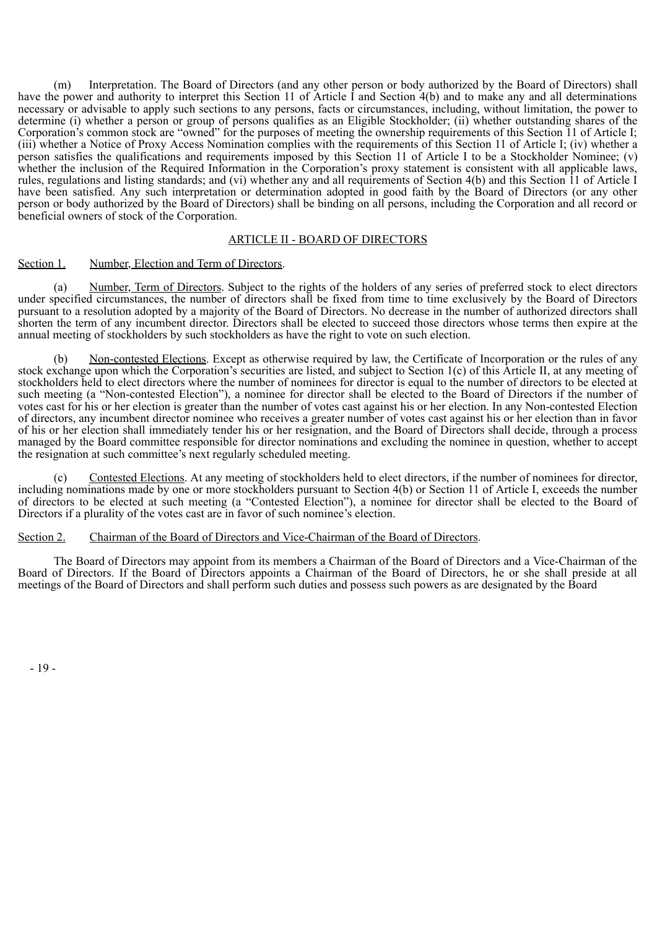(m) Interpretation. The Board of Directors (and any other person or body authorized by the Board of Directors) shall have the power and authority to interpret this Section 11 of Article I and Section 4(b) and to make any and all determinations necessary or advisable to apply such sections to any persons, facts or circumstances, including, without limitation, the power to determine (i) whether a person or group of persons qualifies as an Eligible Stockholder; (ii) whether outstanding shares of the Corporation's common stock are "owned" for the purposes of meeting the ownership requirements of this Section 11 of Article I; (iii) whether a Notice of Proxy Access Nomination complies with the requirements of this Section 11 of Article I; (iv) whether a person satisfies the qualifications and requirements imposed by this Section 11 of Article I to be a Stockholder Nominee; (v) whether the inclusion of the Required Information in the Corporation's proxy statement is consistent with all applicable laws, rules, regulations and listing standards; and (vi) whether any and all requirements of Section 4(b) and this Section 11 of Article I have been satisfied. Any such interpretation or determination adopted in good faith by the Board of Directors (or any other person or body authorized by the Board of Directors) shall be binding on all persons, including the Corporation and all record or beneficial owners of stock of the Corporation.

# ARTICLE II - BOARD OF DIRECTORS

Section 1. Number, Election and Term of Directors.

(a) Number, Term of Directors. Subject to the rights of the holders of any series of preferred stock to elect directors under specified circumstances, the number of directors shall be fixed from time to time exclusively by the Board of Directors pursuant to a resolution adopted by a majority of the Board of Directors. No decrease in the number of authorized directors shall shorten the term of any incumbent director. Directors shall be elected to succeed those directors whose terms then expire at the annual meeting of stockholders by such stockholders as have the right to vote on such election.

(b) Non-contested Elections. Except as otherwise required by law, the Certificate of Incorporation or the rules of any stock exchange upon which the Corporation's securities are listed, and subject to Section 1(c) of this Article II, at any meeting of stockholders held to elect directors where the number of nominees for director is equal to the number of directors to be elected at such meeting (a "Non-contested Election"), a nominee for director shall be elected to the Board of Directors if the number of votes cast for his or her election is greater than the number of votes cast against his or her election. In any Non-contested Election of directors, any incumbent director nominee who receives a greater number of votes cast against his or her election than in favor of his or her election shall immediately tender his or her resignation, and the Board of Directors shall decide, through a process managed by the Board committee responsible for director nominations and excluding the nominee in question, whether to accept the resignation at such committee's next regularly scheduled meeting.

(c) Contested Elections. At any meeting of stockholders held to elect directors, if the number of nominees for director, including nominations made by one or more stockholders pursuant to Section 4(b) or Section 11 of Article I, exceeds the number of directors to be elected at such meeting (a "Contested Election"), a nominee for director shall be elected to the Board of Directors if a plurality of the votes cast are in favor of such nominee's election.

#### Section 2. Chairman of the Board of Directors and Vice-Chairman of the Board of Directors.

The Board of Directors may appoint from its members a Chairman of the Board of Directors and a Vice-Chairman of the Board of Directors. If the Board of Directors appoints a Chairman of the Board of Directors, he or she shall preside at all meetings of the Board of Directors and shall perform such duties and possess such powers as are designated by the Board

- 19 -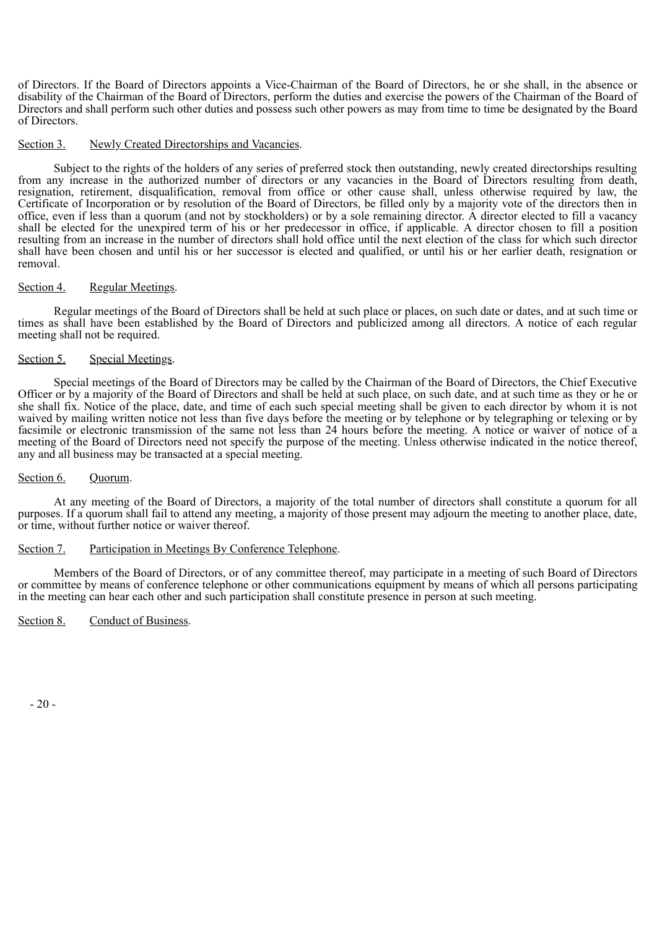of Directors. If the Board of Directors appoints a Vice-Chairman of the Board of Directors, he or she shall, in the absence or disability of the Chairman of the Board of Directors, perform the duties and exercise the powers of the Chairman of the Board of Directors and shall perform such other duties and possess such other powers as may from time to time be designated by the Board of Directors.

#### Section 3. Newly Created Directorships and Vacancies.

Subject to the rights of the holders of any series of preferred stock then outstanding, newly created directorships resulting from any increase in the authorized number of directors or any vacancies in the Board of Directors resulting from death, resignation, retirement, disqualification, removal from office or other cause shall, unless otherwise required by law, the Certificate of Incorporation or by resolution of the Board of Directors, be filled only by a majority vote of the directors then in office, even if less than a quorum (and not by stockholders) or by a sole remaining director. A director elected to fill a vacancy shall be elected for the unexpired term of his or her predecessor in office, if applicable. A director chosen to fill a position resulting from an increase in the number of directors shall hold office until the next election of the class for which such director shall have been chosen and until his or her successor is elected and qualified, or until his or her earlier death, resignation or removal.

#### Section 4. Regular Meetings.

Regular meetings of the Board of Directors shall be held at such place or places, on such date or dates, and at such time or times as shall have been established by the Board of Directors and publicized among all directors. A notice of each regular meeting shall not be required.

# Section 5. Special Meetings.

Special meetings of the Board of Directors may be called by the Chairman of the Board of Directors, the Chief Executive Officer or by a majority of the Board of Directors and shall be held at such place, on such date, and at such time as they or he or she shall fix. Notice of the place, date, and time of each such special meeting shall be given to each director by whom it is not waived by mailing written notice not less than five days before the meeting or by telephone or by telegraphing or telexing or by facsimile or electronic transmission of the same not less than 24 hours before the meeting. A notice or waiver of notice of a meeting of the Board of Directors need not specify the purpose of the meeting. Unless otherwise indicated in the notice thereof, any and all business may be transacted at a special meeting.

#### Section 6. Ouorum.

At any meeting of the Board of Directors, a majority of the total number of directors shall constitute a quorum for all purposes. If a quorum shall fail to attend any meeting, a majority of those present may adjourn the meeting to another place, date, or time, without further notice or waiver thereof.

#### Section 7. Participation in Meetings By Conference Telephone.

Members of the Board of Directors, or of any committee thereof, may participate in a meeting of such Board of Directors or committee by means of conference telephone or other communications equipment by means of which all persons participating in the meeting can hear each other and such participation shall constitute presence in person at such meeting.

Section 8. Conduct of Business.

- 20 -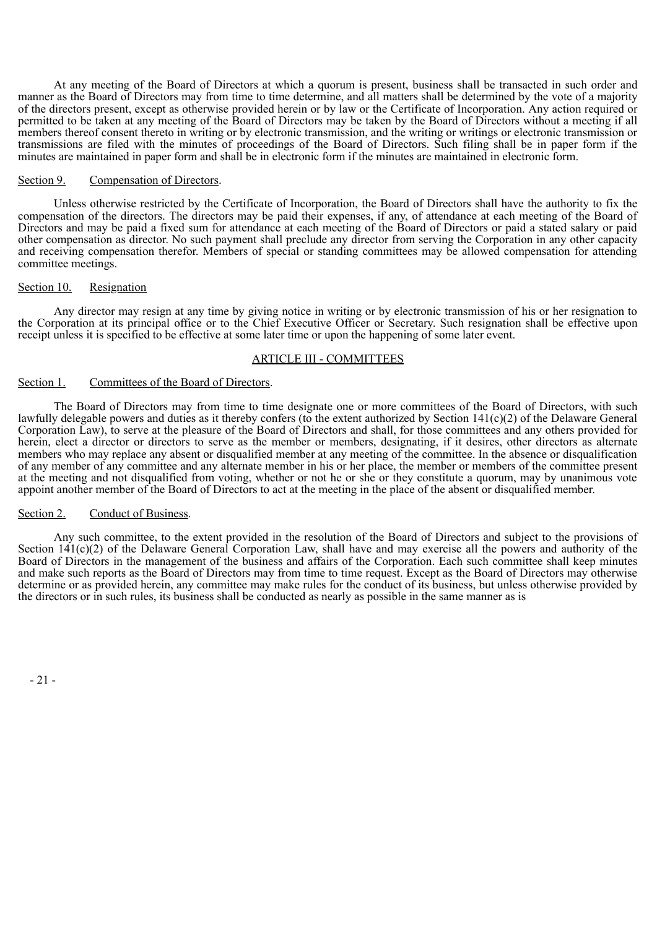At any meeting of the Board of Directors at which a quorum is present, business shall be transacted in such order and manner as the Board of Directors may from time to time determine, and all matters shall be determined by the vote of a majority of the directors present, except as otherwise provided herein or by law or the Certificate of Incorporation. Any action required or permitted to be taken at any meeting of the Board of Directors may be taken by the Board of Directors without a meeting if all members thereof consent thereto in writing or by electronic transmission, and the writing or writings or electronic transmission or transmissions are filed with the minutes of proceedings of the Board of Directors. Such filing shall be in paper form if the minutes are maintained in paper form and shall be in electronic form if the minutes are maintained in electronic form.

#### Section 9. Compensation of Directors.

Unless otherwise restricted by the Certificate of Incorporation, the Board of Directors shall have the authority to fix the compensation of the directors. The directors may be paid their expenses, if any, of attendance at each meeting of the Board of Directors and may be paid a fixed sum for attendance at each meeting of the Board of Directors or paid a stated salary or paid other compensation as director. No such payment shall preclude any director from serving the Corporation in any other capacity and receiving compensation therefor. Members of special or standing committees may be allowed compensation for attending committee meetings.

#### Section 10. Resignation

Any director may resign at any time by giving notice in writing or by electronic transmission of his or her resignation to the Corporation at its principal office or to the Chief Executive Officer or Secretary. Such resignation shall be effective upon receipt unless it is specified to be effective at some later time or upon the happening of some later event.

# ARTICLE III - COMMITTEES

#### Section 1. Committees of the Board of Directors.

The Board of Directors may from time to time designate one or more committees of the Board of Directors, with such lawfully delegable powers and duties as it thereby confers (to the extent authorized by Section 141(c)(2) of the Delaware General Corporation Law), to serve at the pleasure of the Board of Directors and shall, for those committees and any others provided for herein, elect a director or directors to serve as the member or members, designating, if it desires, other directors as alternate members who may replace any absent or disqualified member at any meeting of the committee. In the absence or disqualification of any member of any committee and any alternate member in his or her place, the member or members of the committee present at the meeting and not disqualified from voting, whether or not he or she or they constitute a quorum, may by unanimous vote appoint another member of the Board of Directors to act at the meeting in the place of the absent or disqualified member.

#### Section 2. Conduct of Business.

Any such committee, to the extent provided in the resolution of the Board of Directors and subject to the provisions of Section  $141(c)(2)$  of the Delaware General Corporation Law, shall have and may exercise all the powers and authority of the Board of Directors in the management of the business and affairs of the Corporation. Each such committee shall keep minutes and make such reports as the Board of Directors may from time to time request. Except as the Board of Directors may otherwise determine or as provided herein, any committee may make rules for the conduct of its business, but unless otherwise provided by the directors or in such rules, its business shall be conducted as nearly as possible in the same manner as is

- 21 -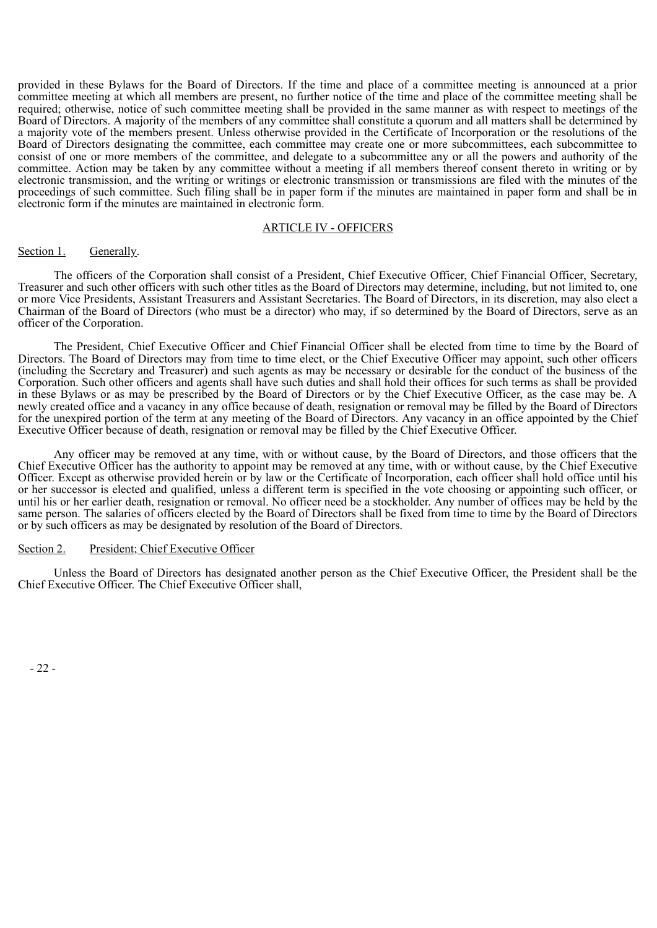provided in these Bylaws for the Board of Directors. If the time and place of a committee meeting is announced at a prior committee meeting at which all members are present, no further notice of the time and place of the committee meeting shall be required; otherwise, notice of such committee meeting shall be provided in the same manner as with respect to meetings of the Board of Directors. A majority of the members of any committee shall constitute a quorum and all matters shall be determined by a majority vote of the members present. Unless otherwise provided in the Certificate of Incorporation or the resolutions of the Board of Directors designating the committee, each committee may create one or more subcommittees, each subcommittee to consist of one or more members of the committee, and delegate to a subcommittee any or all the powers and authority of the committee. Action may be taken by any committee without a meeting if all members thereof consent thereto in writing or by electronic transmission, and the writing or writings or electronic transmission or transmissions are filed with the minutes of the proceedings of such committee. Such filing shall be in paper form if the minutes are maintained in paper form and shall be in electronic form if the minutes are maintained in electronic form.

# ARTICLE IV - OFFICERS

#### Section 1. Generally.

The officers of the Corporation shall consist of a President, Chief Executive Officer, Chief Financial Officer, Secretary, Treasurer and such other officers with such other titles as the Board of Directors may determine, including, but not limited to, one or more Vice Presidents, Assistant Treasurers and Assistant Secretaries. The Board of Directors, in its discretion, may also elect a Chairman of the Board of Directors (who must be a director) who may, if so determined by the Board of Directors, serve as an officer of the Corporation.

The President, Chief Executive Officer and Chief Financial Officer shall be elected from time to time by the Board of Directors. The Board of Directors may from time to time elect, or the Chief Executive Officer may appoint, such other officers (including the Secretary and Treasurer) and such agents as may be necessary or desirable for the conduct of the business of the Corporation. Such other officers and agents shall have such duties and shall hold their offices for such terms as shall be provided in these Bylaws or as may be prescribed by the Board of Directors or by the Chief Executive Officer, as the case may be. A newly created office and a vacancy in any office because of death, resignation or removal may be filled by the Board of Directors for the unexpired portion of the term at any meeting of the Board of Directors. Any vacancy in an office appointed by the Chief Executive Officer because of death, resignation or removal may be filled by the Chief Executive Officer.

Any officer may be removed at any time, with or without cause, by the Board of Directors, and those officers that the Chief Executive Officer has the authority to appoint may be removed at any time, with or without cause, by the Chief Executive Officer. Except as otherwise provided herein or by law or the Certificate of Incorporation, each officer shall hold office until his or her successor is elected and qualified, unless a different term is specified in the vote choosing or appointing such officer, or until his or her earlier death, resignation or removal. No officer need be a stockholder. Any number of offices may be held by the same person. The salaries of officers elected by the Board of Directors shall be fixed from time to time by the Board of Directors or by such officers as may be designated by resolution of the Board of Directors.

#### Section 2. President; Chief Executive Officer

Unless the Board of Directors has designated another person as the Chief Executive Officer, the President shall be the Chief Executive Officer. The Chief Executive Officer shall,

- 22 -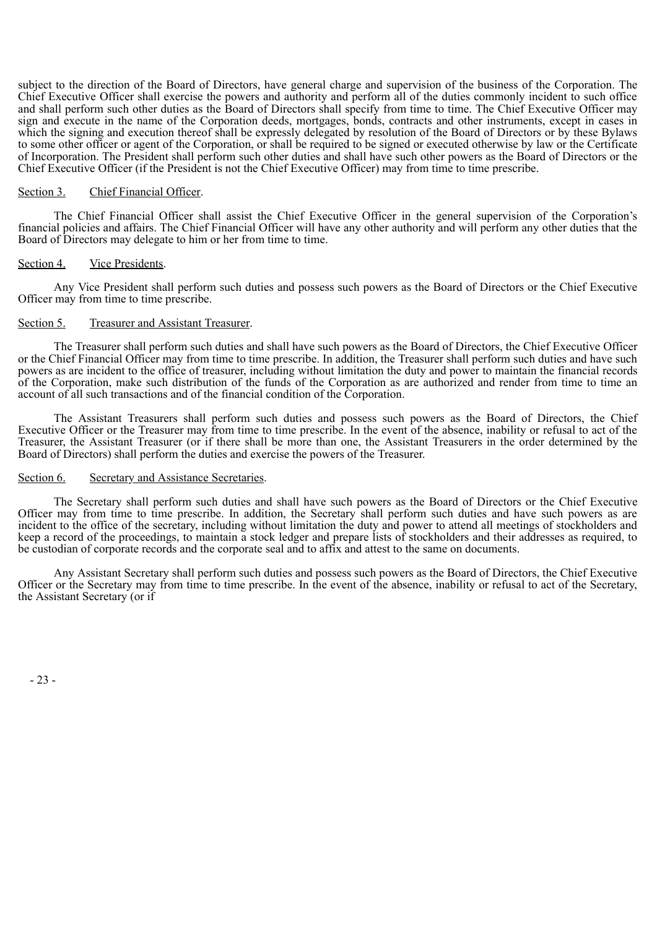subject to the direction of the Board of Directors, have general charge and supervision of the business of the Corporation. The Chief Executive Officer shall exercise the powers and authority and perform all of the duties commonly incident to such office and shall perform such other duties as the Board of Directors shall specify from time to time. The Chief Executive Officer may sign and execute in the name of the Corporation deeds, mortgages, bonds, contracts and other instruments, except in cases in which the signing and execution thereof shall be expressly delegated by resolution of the Board of Directors or by these Bylaws to some other officer or agent of the Corporation, or shall be required to be signed or executed otherwise by law or the Certificate of Incorporation. The President shall perform such other duties and shall have such other powers as the Board of Directors or the Chief Executive Officer (if the President is not the Chief Executive Officer) may from time to time prescribe.

#### Section 3. Chief Financial Officer.

The Chief Financial Officer shall assist the Chief Executive Officer in the general supervision of the Corporation's financial policies and affairs. The Chief Financial Officer will have any other authority and will perform any other duties that the Board of Directors may delegate to him or her from time to time.

#### Section 4. Vice Presidents.

Any Vice President shall perform such duties and possess such powers as the Board of Directors or the Chief Executive Officer may from time to time prescribe.

# Section 5. Treasurer and Assistant Treasurer.

The Treasurer shall perform such duties and shall have such powers as the Board of Directors, the Chief Executive Officer or the Chief Financial Officer may from time to time prescribe. In addition, the Treasurer shall perform such duties and have such powers as are incident to the office of treasurer, including without limitation the duty and power to maintain the financial records of the Corporation, make such distribution of the funds of the Corporation as are authorized and render from time to time an account of all such transactions and of the financial condition of the Corporation.

The Assistant Treasurers shall perform such duties and possess such powers as the Board of Directors, the Chief Executive Officer or the Treasurer may from time to time prescribe. In the event of the absence, inability or refusal to act of the Treasurer, the Assistant Treasurer (or if there shall be more than one, the Assistant Treasurers in the order determined by the Board of Directors) shall perform the duties and exercise the powers of the Treasurer.

#### Section 6. Secretary and Assistance Secretaries.

The Secretary shall perform such duties and shall have such powers as the Board of Directors or the Chief Executive Officer may from time to time prescribe. In addition, the Secretary shall perform such duties and have such powers as are incident to the office of the secretary, including without limitation the duty and power to attend all meetings of stockholders and keep a record of the proceedings, to maintain a stock ledger and prepare lists of stockholders and their addresses as required, to be custodian of corporate records and the corporate seal and to affix and attest to the same on documents.

Any Assistant Secretary shall perform such duties and possess such powers as the Board of Directors, the Chief Executive Officer or the Secretary may from time to time prescribe. In the event of the absence, inability or refusal to act of the Secretary, the Assistant Secretary (or if

- 23 -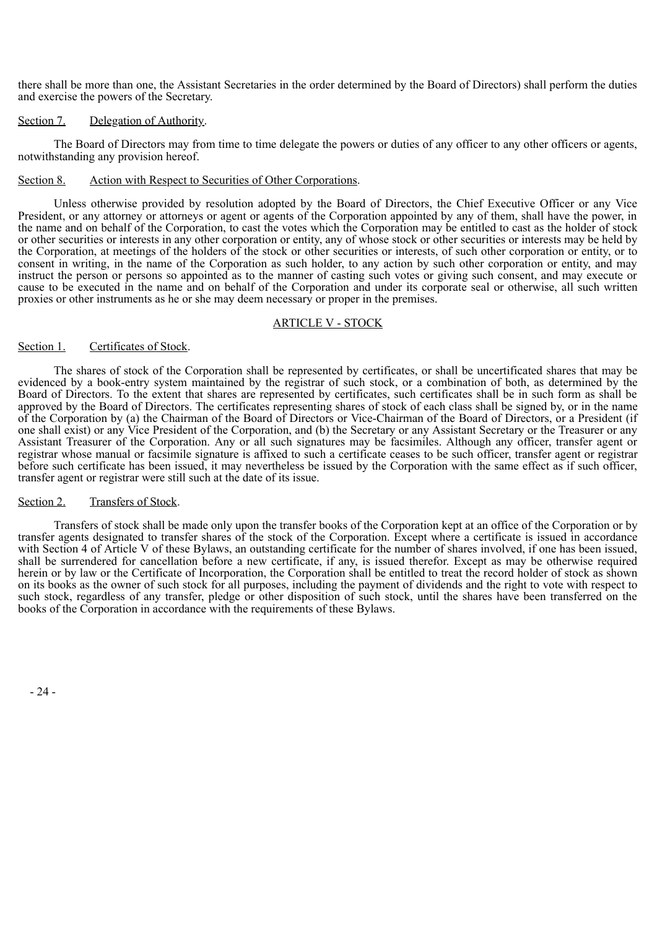there shall be more than one, the Assistant Secretaries in the order determined by the Board of Directors) shall perform the duties and exercise the powers of the Secretary.

# Section 7. Delegation of Authority.

The Board of Directors may from time to time delegate the powers or duties of any officer to any other officers or agents, notwithstanding any provision hereof.

# Section 8. Action with Respect to Securities of Other Corporations.

Unless otherwise provided by resolution adopted by the Board of Directors, the Chief Executive Officer or any Vice President, or any attorney or attorneys or agent or agents of the Corporation appointed by any of them, shall have the power, in the name and on behalf of the Corporation, to cast the votes which the Corporation may be entitled to cast as the holder of stock or other securities or interests in any other corporation or entity, any of whose stock or other securities or interests may be held by the Corporation, at meetings of the holders of the stock or other securities or interests, of such other corporation or entity, or to consent in writing, in the name of the Corporation as such holder, to any action by such other corporation or entity, and may instruct the person or persons so appointed as to the manner of casting such votes or giving such consent, and may execute or cause to be executed in the name and on behalf of the Corporation and under its corporate seal or otherwise, all such written proxies or other instruments as he or she may deem necessary or proper in the premises.

# ARTICLE V - STOCK

# Section 1. Certificates of Stock.

The shares of stock of the Corporation shall be represented by certificates, or shall be uncertificated shares that may be evidenced by a book-entry system maintained by the registrar of such stock, or a combination of both, as determined by the Board of Directors. To the extent that shares are represented by certificates, such certificates shall be in such form as shall be approved by the Board of Directors. The certificates representing shares of stock of each class shall be signed by, or in the name of the Corporation by (a) the Chairman of the Board of Directors or Vice-Chairman of the Board of Directors, or a President (if one shall exist) or any Vice President of the Corporation, and (b) the Secretary or any Assistant Secretary or the Treasurer or any Assistant Treasurer of the Corporation. Any or all such signatures may be facsimiles. Although any officer, transfer agent or registrar whose manual or facsimile signature is affixed to such a certificate ceases to be such officer, transfer agent or registrar before such certificate has been issued, it may nevertheless be issued by the Corporation with the same effect as if such officer, transfer agent or registrar were still such at the date of its issue.

# Section 2. Transfers of Stock.

Transfers of stock shall be made only upon the transfer books of the Corporation kept at an office of the Corporation or by transfer agents designated to transfer shares of the stock of the Corporation. Except where a certificate is issued in accordance with Section 4 of Article V of these Bylaws, an outstanding certificate for the number of shares involved, if one has been issued, shall be surrendered for cancellation before a new certificate, if any, is issued therefor. Except as may be otherwise required herein or by law or the Certificate of Incorporation, the Corporation shall be entitled to treat the record holder of stock as shown on its books as the owner of such stock for all purposes, including the payment of dividends and the right to vote with respect to such stock, regardless of any transfer, pledge or other disposition of such stock, until the shares have been transferred on the books of the Corporation in accordance with the requirements of these Bylaws.

- 24 -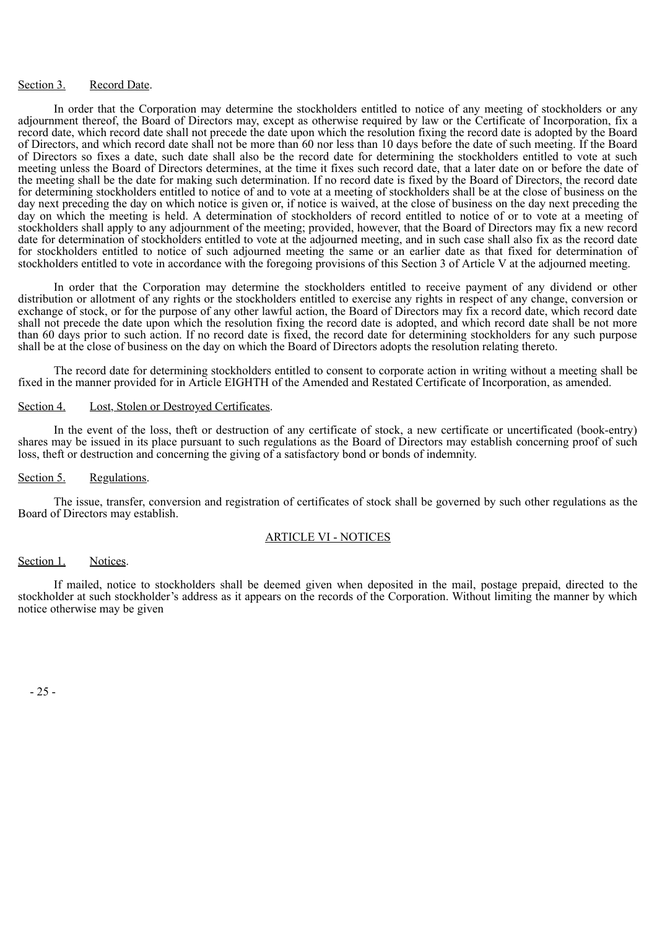#### Section 3. Record Date.

In order that the Corporation may determine the stockholders entitled to notice of any meeting of stockholders or any adjournment thereof, the Board of Directors may, except as otherwise required by law or the Certificate of Incorporation, fix a record date, which record date shall not precede the date upon which the resolution fixing the record date is adopted by the Board of Directors, and which record date shall not be more than 60 nor less than 10 days before the date of such meeting. If the Board of Directors so fixes a date, such date shall also be the record date for determining the stockholders entitled to vote at such meeting unless the Board of Directors determines, at the time it fixes such record date, that a later date on or before the date of the meeting shall be the date for making such determination. If no record date is fixed by the Board of Directors, the record date for determining stockholders entitled to notice of and to vote at a meeting of stockholders shall be at the close of business on the day next preceding the day on which notice is given or, if notice is waived, at the close of business on the day next preceding the day on which the meeting is held. A determination of stockholders of record entitled to notice of or to vote at a meeting of stockholders shall apply to any adjournment of the meeting; provided, however, that the Board of Directors may fix a new record date for determination of stockholders entitled to vote at the adjourned meeting, and in such case shall also fix as the record date for stockholders entitled to notice of such adjourned meeting the same or an earlier date as that fixed for determination of stockholders entitled to vote in accordance with the foregoing provisions of this Section 3 of Article V at the adjourned meeting.

In order that the Corporation may determine the stockholders entitled to receive payment of any dividend or other distribution or allotment of any rights or the stockholders entitled to exercise any rights in respect of any change, conversion or exchange of stock, or for the purpose of any other lawful action, the Board of Directors may fix a record date, which record date shall not precede the date upon which the resolution fixing the record date is adopted, and which record date shall be not more than 60 days prior to such action. If no record date is fixed, the record date for determining stockholders for any such purpose shall be at the close of business on the day on which the Board of Directors adopts the resolution relating thereto.

The record date for determining stockholders entitled to consent to corporate action in writing without a meeting shall be fixed in the manner provided for in Article EIGHTH of the Amended and Restated Certificate of Incorporation, as amended.

#### Section 4. Lost, Stolen or Destroyed Certificates.

In the event of the loss, theft or destruction of any certificate of stock, a new certificate or uncertificated (book-entry) shares may be issued in its place pursuant to such regulations as the Board of Directors may establish concerning proof of such loss, theft or destruction and concerning the giving of a satisfactory bond or bonds of indemnity.

#### Section 5. Regulations.

The issue, transfer, conversion and registration of certificates of stock shall be governed by such other regulations as the Board of Directors may establish.

#### ARTICLE VI - NOTICES

#### Section 1. Notices.

If mailed, notice to stockholders shall be deemed given when deposited in the mail, postage prepaid, directed to the stockholder at such stockholder's address as it appears on the records of the Corporation. Without limiting the manner by which notice otherwise may be given

- 25 -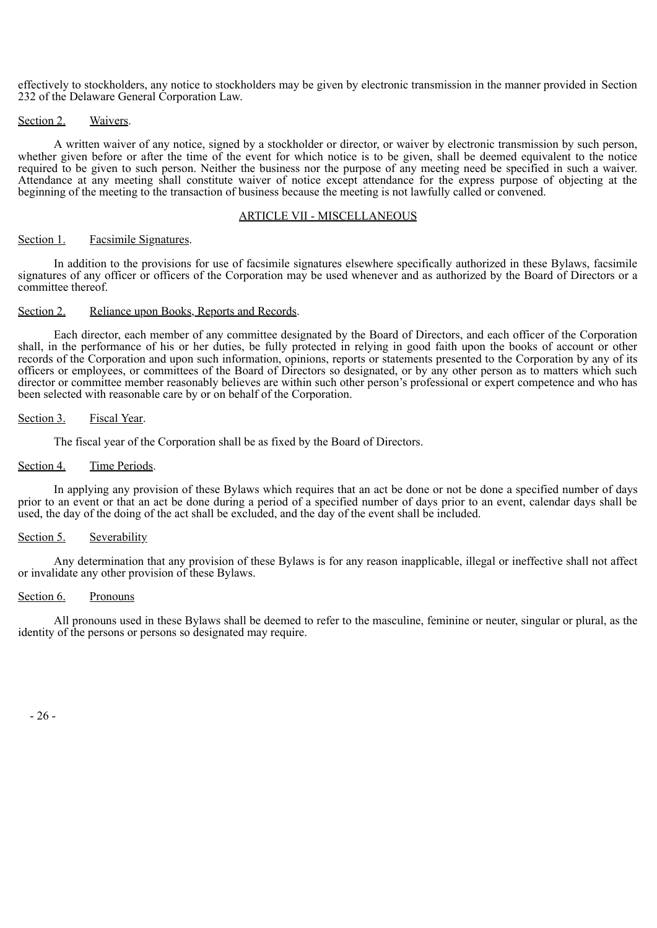effectively to stockholders, any notice to stockholders may be given by electronic transmission in the manner provided in Section 232 of the Delaware General Corporation Law.

#### Section 2. Waivers.

A written waiver of any notice, signed by a stockholder or director, or waiver by electronic transmission by such person, whether given before or after the time of the event for which notice is to be given, shall be deemed equivalent to the notice required to be given to such person. Neither the business nor the purpose of any meeting need be specified in such a waiver. Attendance at any meeting shall constitute waiver of notice except attendance for the express purpose of objecting at the beginning of the meeting to the transaction of business because the meeting is not lawfully called or convened.

#### ARTICLE VII - MISCELLANEOUS

#### Section 1. Facsimile Signatures.

In addition to the provisions for use of facsimile signatures elsewhere specifically authorized in these Bylaws, facsimile signatures of any officer or officers of the Corporation may be used whenever and as authorized by the Board of Directors or a committee thereof.

#### Section 2. Reliance upon Books, Reports and Records.

Each director, each member of any committee designated by the Board of Directors, and each officer of the Corporation shall, in the performance of his or her duties, be fully protected in relying in good faith upon the books of account or other records of the Corporation and upon such information, opinions, reports or statements presented to the Corporation by any of its officers or employees, or committees of the Board of Directors so designated, or by any other person as to matters which such director or committee member reasonably believes are within such other person's professional or expert competence and who has been selected with reasonable care by or on behalf of the Corporation.

# Section 3. Fiscal Year.

The fiscal year of the Corporation shall be as fixed by the Board of Directors.

#### Section 4. Time Periods.

In applying any provision of these Bylaws which requires that an act be done or not be done a specified number of days prior to an event or that an act be done during a period of a specified number of days prior to an event, calendar days shall be used, the day of the doing of the act shall be excluded, and the day of the event shall be included.

#### Section 5. Severability

Any determination that any provision of these Bylaws is for any reason inapplicable, illegal or ineffective shall not affect or invalidate any other provision of these Bylaws.

#### Section 6. Pronouns

All pronouns used in these Bylaws shall be deemed to refer to the masculine, feminine or neuter, singular or plural, as the identity of the persons or persons so designated may require.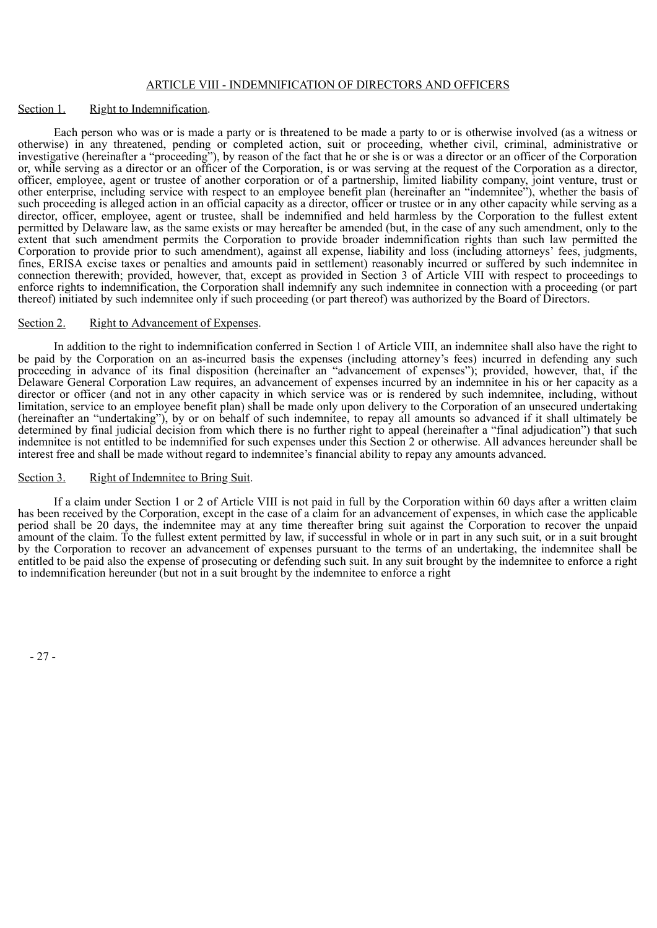#### ARTICLE VIII - INDEMNIFICATION OF DIRECTORS AND OFFICERS

#### Section 1. Right to Indemnification.

Each person who was or is made a party or is threatened to be made a party to or is otherwise involved (as a witness or otherwise) in any threatened, pending or completed action, suit or proceeding, whether civil, criminal, administrative or investigative (hereinafter a "proceeding"), by reason of the fact that he or she is or was a director or an officer of the Corporation or, while serving as a director or an officer of the Corporation, is or was serving at the request of the Corporation as a director, officer, employee, agent or trustee of another corporation or of a partnership, limited liability company, joint venture, trust or other enterprise, including service with respect to an employee benefit plan (hereinafter an "indemnitee"), whether the basis of such proceeding is alleged action in an official capacity as a director, officer or trustee or in any other capacity while serving as a director, officer, employee, agent or trustee, shall be indemnified and held harmless by the Corporation to the fullest extent permitted by Delaware law, as the same exists or may hereafter be amended (but, in the case of any such amendment, only to the extent that such amendment permits the Corporation to provide broader indemnification rights than such law permitted the Corporation to provide prior to such amendment), against all expense, liability and loss (including attorneys' fees, judgments, fines, ERISA excise taxes or penalties and amounts paid in settlement) reasonably incurred or suffered by such indemnitee in connection therewith; provided, however, that, except as provided in Section 3 of Article VIII with respect to proceedings to enforce rights to indemnification, the Corporation shall indemnify any such indemnitee in connection with a proceeding (or part thereof) initiated by such indemnitee only if such proceeding (or part thereof) was authorized by the Board of Directors.

#### Section 2. Right to Advancement of Expenses.

In addition to the right to indemnification conferred in Section 1 of Article VIII, an indemnitee shall also have the right to be paid by the Corporation on an as-incurred basis the expenses (including attorney's fees) incurred in defending any such proceeding in advance of its final disposition (hereinafter an "advancement of expenses"); provided, however, that, if the Delaware General Corporation Law requires, an advancement of expenses incurred by an indemnitee in his or her capacity as a director or officer (and not in any other capacity in which service was or is rendered by such indemnitee, including, without limitation, service to an employee benefit plan) shall be made only upon delivery to the Corporation of an unsecured undertaking (hereinafter an "undertaking"), by or on behalf of such indemnitee, to repay all amounts so advanced if it shall ultimately be determined by final judicial decision from which there is no further right to appeal (hereinafter a "final adjudication") that such indemnitee is not entitled to be indemnified for such expenses under this Section 2 or otherwise. All advances hereunder shall be interest free and shall be made without regard to indemnitee's financial ability to repay any amounts advanced.

#### Section 3. Right of Indemnitee to Bring Suit.

If a claim under Section 1 or 2 of Article VIII is not paid in full by the Corporation within 60 days after a written claim has been received by the Corporation, except in the case of a claim for an advancement of expenses, in which case the applicable period shall be 20 days, the indemnitee may at any time thereafter bring suit against the Corporation to recover the unpaid amount of the claim. To the fullest extent permitted by law, if successful in whole or in part in any such suit, or in a suit brought by the Corporation to recover an advancement of expenses pursuant to the terms of an undertaking, the indemnitee shall be entitled to be paid also the expense of prosecuting or defending such suit. In any suit brought by the indemnitee to enforce a right to indemnification hereunder (but not in a suit brought by the indemnitee to enforce a right

- 27 -